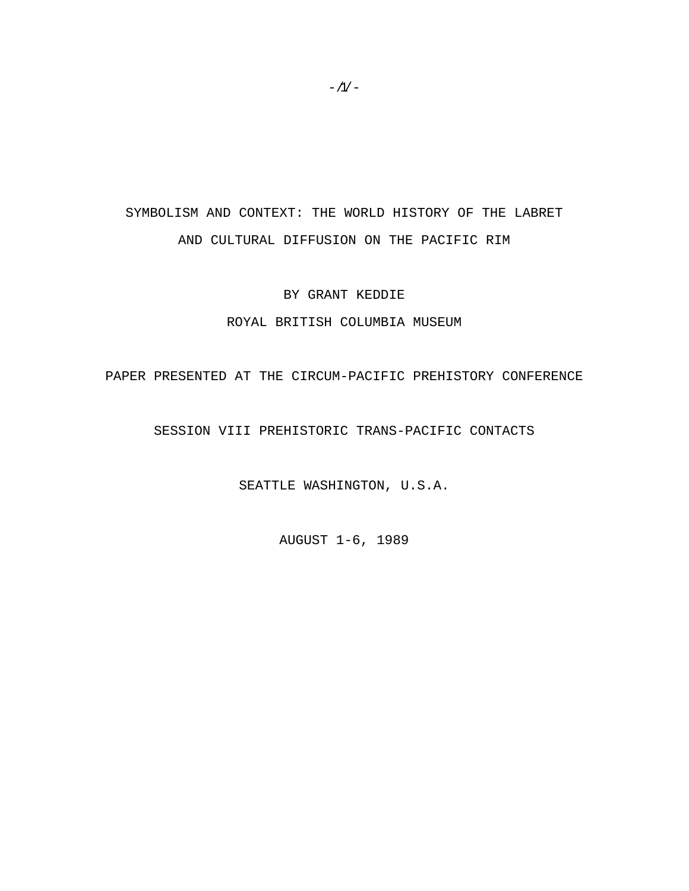## SYMBOLISM AND CONTEXT: THE WORLD HISTORY OF THE LABRET AND CULTURAL DIFFUSION ON THE PACIFIC RIM

BY GRANT KEDDIE

## ROYAL BRITISH COLUMBIA MUSEUM

PAPER PRESENTED AT THE CIRCUM-PACIFIC PREHISTORY CONFERENCE

SESSION VIII PREHISTORIC TRANS-PACIFIC CONTACTS

SEATTLE WASHINGTON, U.S.A.

AUGUST 1-6, 1989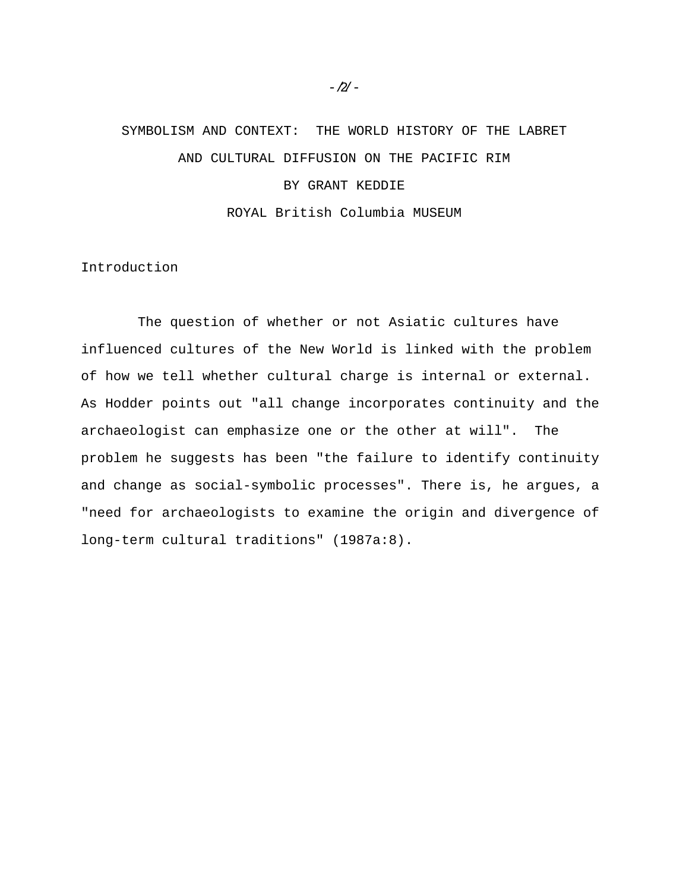# SYMBOLISM AND CONTEXT: THE WORLD HISTORY OF THE LABRET AND CULTURAL DIFFUSION ON THE PACIFIC RIM BY GRANT KEDDIE ROYAL British Columbia MUSEUM

Introduction

 The question of whether or not Asiatic cultures have influenced cultures of the New World is linked with the problem of how we tell whether cultural charge is internal or external. As Hodder points out "all change incorporates continuity and the archaeologist can emphasize one or the other at will". The problem he suggests has been "the failure to identify continuity and change as social-symbolic processes". There is, he argues, a "need for archaeologists to examine the origin and divergence of long-term cultural traditions" (1987a:8).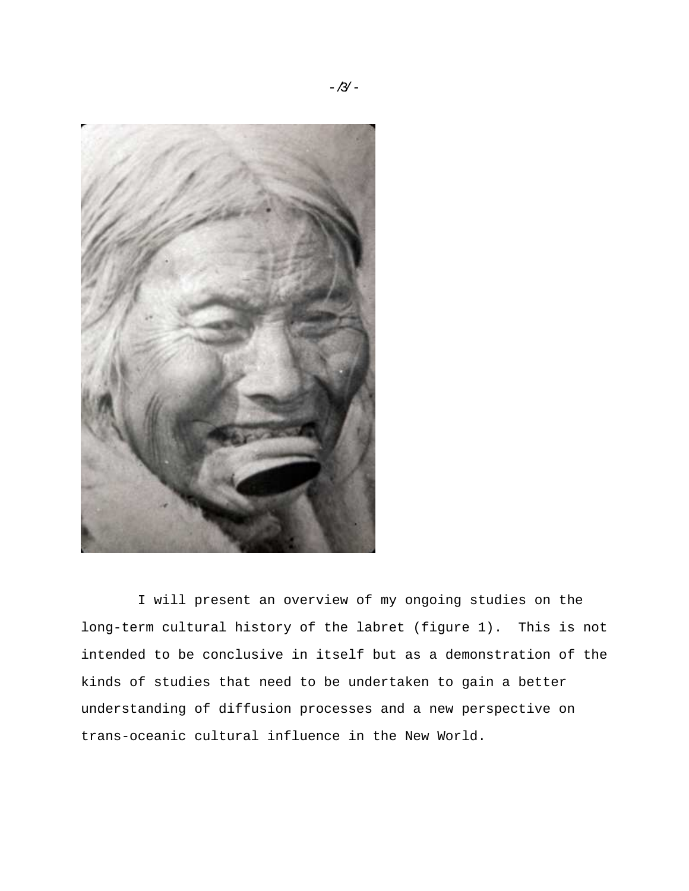

 I will present an overview of my ongoing studies on the long-term cultural history of the labret (figure 1). This is not intended to be conclusive in itself but as a demonstration of the kinds of studies that need to be undertaken to gain a better understanding of diffusion processes and a new perspective on trans-oceanic cultural influence in the New World.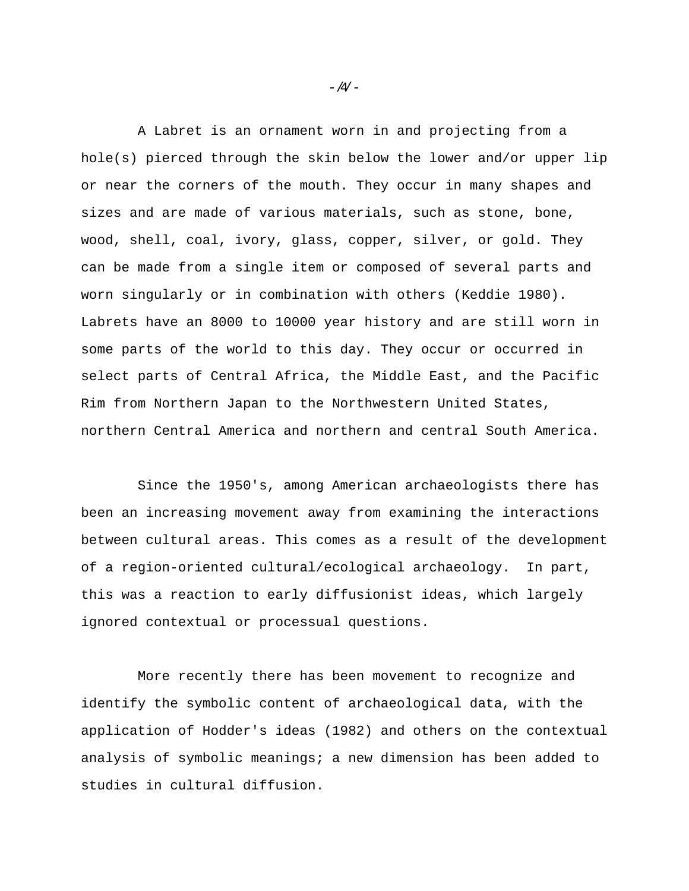A Labret is an ornament worn in and projecting from a hole(s) pierced through the skin below the lower and/or upper lip or near the corners of the mouth. They occur in many shapes and sizes and are made of various materials, such as stone, bone, wood, shell, coal, ivory, glass, copper, silver, or gold. They can be made from a single item or composed of several parts and worn singularly or in combination with others (Keddie 1980). Labrets have an 8000 to 10000 year history and are still worn in some parts of the world to this day. They occur or occurred in select parts of Central Africa, the Middle East, and the Pacific Rim from Northern Japan to the Northwestern United States, northern Central America and northern and central South America.

 Since the 1950's, among American archaeologists there has been an increasing movement away from examining the interactions between cultural areas. This comes as a result of the development of a region-oriented cultural/ecological archaeology. In part, this was a reaction to early diffusionist ideas, which largely ignored contextual or processual questions.

 More recently there has been movement to recognize and identify the symbolic content of archaeological data, with the application of Hodder's ideas (1982) and others on the contextual analysis of symbolic meanings; a new dimension has been added to studies in cultural diffusion.

 $-/4/-$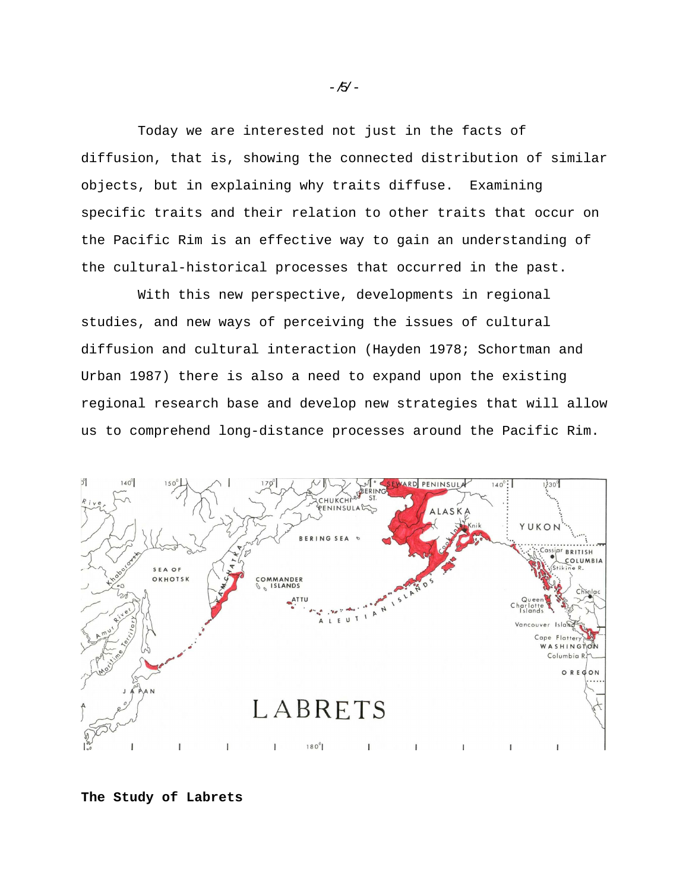Today we are interested not just in the facts of diffusion, that is, showing the connected distribution of similar objects, but in explaining why traits diffuse. Examining specific traits and their relation to other traits that occur on the Pacific Rim is an effective way to gain an understanding of the cultural-historical processes that occurred in the past.

 With this new perspective, developments in regional studies, and new ways of perceiving the issues of cultural diffusion and cultural interaction (Hayden 1978; Schortman and Urban 1987) there is also a need to expand upon the existing regional research base and develop new strategies that will allow us to comprehend long-distance processes around the Pacific Rim.



## **The Study of Labrets**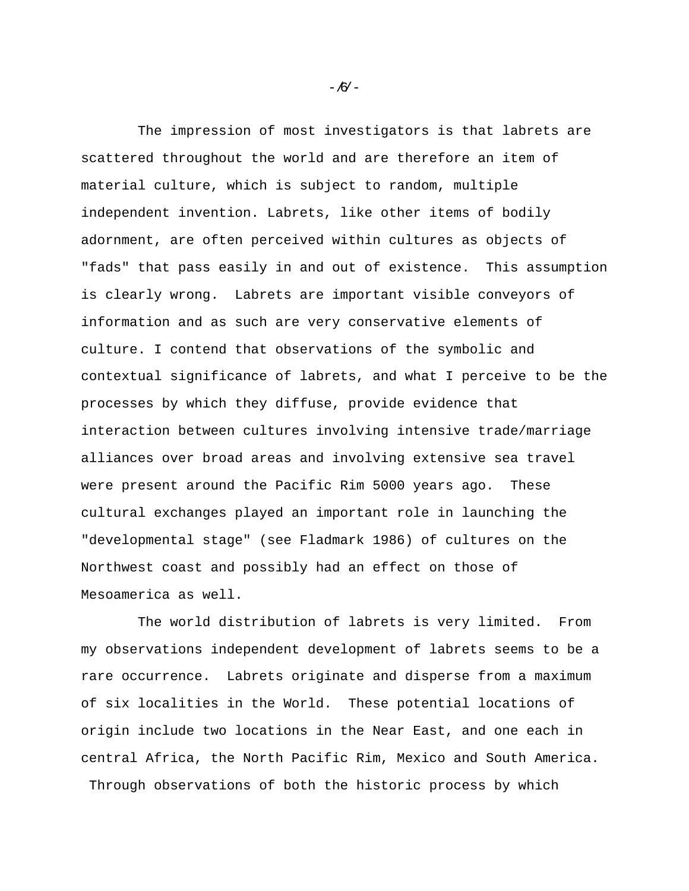The impression of most investigators is that labrets are scattered throughout the world and are therefore an item of material culture, which is subject to random, multiple independent invention. Labrets, like other items of bodily adornment, are often perceived within cultures as objects of "fads" that pass easily in and out of existence. This assumption is clearly wrong. Labrets are important visible conveyors of information and as such are very conservative elements of culture. I contend that observations of the symbolic and contextual significance of labrets, and what I perceive to be the processes by which they diffuse, provide evidence that interaction between cultures involving intensive trade/marriage alliances over broad areas and involving extensive sea travel were present around the Pacific Rim 5000 years ago. These cultural exchanges played an important role in launching the "developmental stage" (see Fladmark 1986) of cultures on the Northwest coast and possibly had an effect on those of Mesoamerica as well.

 The world distribution of labrets is very limited. From my observations independent development of labrets seems to be a rare occurrence. Labrets originate and disperse from a maximum of six localities in the World. These potential locations of origin include two locations in the Near East, and one each in central Africa, the North Pacific Rim, Mexico and South America. Through observations of both the historic process by which

 $-$  /6/  $-$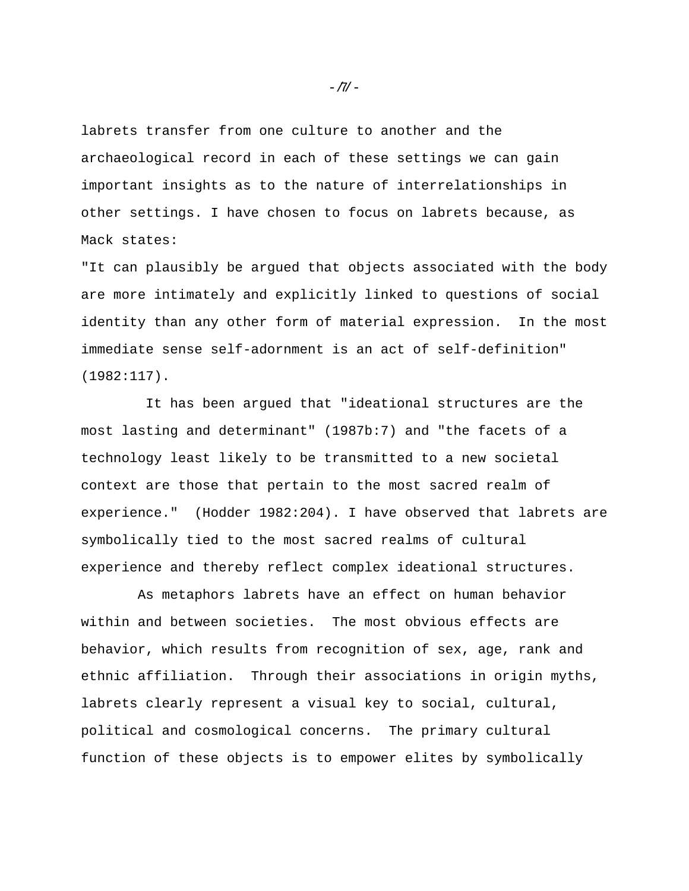labrets transfer from one culture to another and the archaeological record in each of these settings we can gain important insights as to the nature of interrelationships in other settings. I have chosen to focus on labrets because, as Mack states:

"It can plausibly be argued that objects associated with the body are more intimately and explicitly linked to questions of social identity than any other form of material expression. In the most immediate sense self-adornment is an act of self-definition" (1982:117).

 It has been argued that "ideational structures are the most lasting and determinant" (1987b:7) and "the facets of a technology least likely to be transmitted to a new societal context are those that pertain to the most sacred realm of experience." (Hodder 1982:204). I have observed that labrets are symbolically tied to the most sacred realms of cultural experience and thereby reflect complex ideational structures.

 As metaphors labrets have an effect on human behavior within and between societies. The most obvious effects are behavior, which results from recognition of sex, age, rank and ethnic affiliation. Through their associations in origin myths, labrets clearly represent a visual key to social, cultural, political and cosmological concerns. The primary cultural function of these objects is to empower elites by symbolically

 $-7/ -$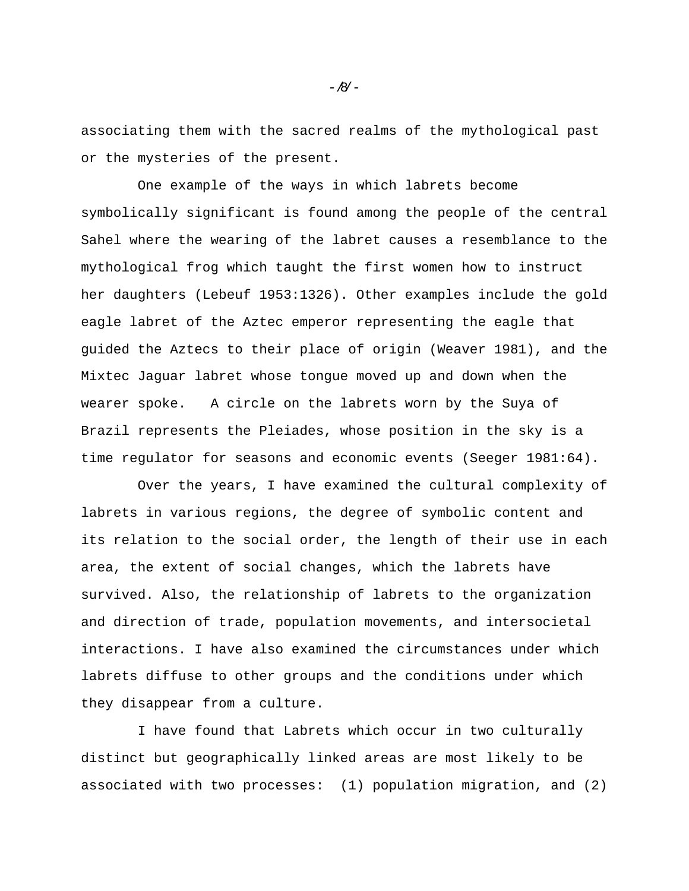associating them with the sacred realms of the mythological past or the mysteries of the present.

 One example of the ways in which labrets become symbolically significant is found among the people of the central Sahel where the wearing of the labret causes a resemblance to the mythological frog which taught the first women how to instruct her daughters (Lebeuf 1953:1326). Other examples include the gold eagle labret of the Aztec emperor representing the eagle that guided the Aztecs to their place of origin (Weaver 1981), and the Mixtec Jaguar labret whose tongue moved up and down when the wearer spoke. A circle on the labrets worn by the Suya of Brazil represents the Pleiades, whose position in the sky is a time regulator for seasons and economic events (Seeger 1981:64).

 Over the years, I have examined the cultural complexity of labrets in various regions, the degree of symbolic content and its relation to the social order, the length of their use in each area, the extent of social changes, which the labrets have survived. Also, the relationship of labrets to the organization and direction of trade, population movements, and intersocietal interactions. I have also examined the circumstances under which labrets diffuse to other groups and the conditions under which they disappear from a culture.

 I have found that Labrets which occur in two culturally distinct but geographically linked areas are most likely to be associated with two processes: (1) population migration, and (2)

 $-$  /8/  $-$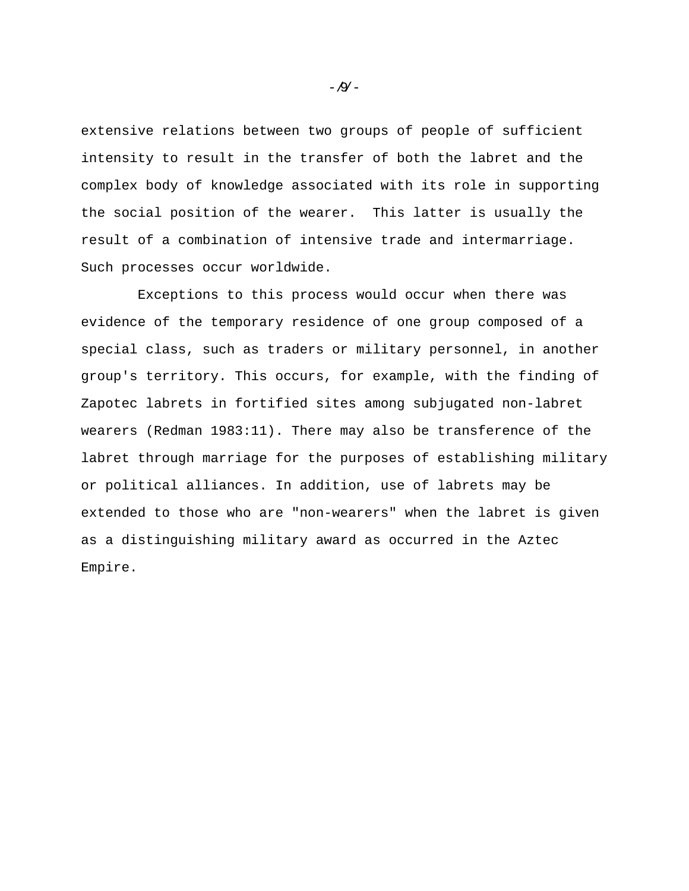extensive relations between two groups of people of sufficient intensity to result in the transfer of both the labret and the complex body of knowledge associated with its role in supporting the social position of the wearer. This latter is usually the result of a combination of intensive trade and intermarriage. Such processes occur worldwide.

 Exceptions to this process would occur when there was evidence of the temporary residence of one group composed of a special class, such as traders or military personnel, in another group's territory. This occurs, for example, with the finding of Zapotec labrets in fortified sites among subjugated non-labret wearers (Redman 1983:11). There may also be transference of the labret through marriage for the purposes of establishing military or political alliances. In addition, use of labrets may be extended to those who are "non-wearers" when the labret is given as a distinguishing military award as occurred in the Aztec Empire.

 $-$  /9/  $-$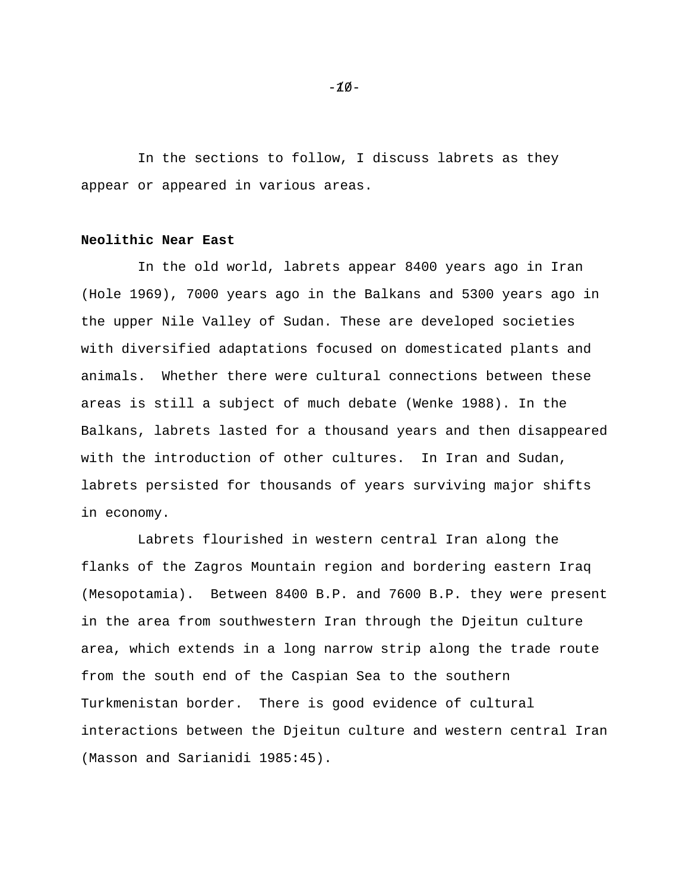In the sections to follow, I discuss labrets as they appear or appeared in various areas.

#### **Neolithic Near East**

 In the old world, labrets appear 8400 years ago in Iran (Hole 1969), 7000 years ago in the Balkans and 5300 years ago in the upper Nile Valley of Sudan. These are developed societies with diversified adaptations focused on domesticated plants and animals. Whether there were cultural connections between these areas is still a subject of much debate (Wenke 1988). In the Balkans, labrets lasted for a thousand years and then disappeared with the introduction of other cultures. In Iran and Sudan, labrets persisted for thousands of years surviving major shifts in economy.

 Labrets flourished in western central Iran along the flanks of the Zagros Mountain region and bordering eastern Iraq (Mesopotamia). Between 8400 B.P. and 7600 B.P. they were present in the area from southwestern Iran through the Djeitun culture area, which extends in a long narrow strip along the trade route from the south end of the Caspian Sea to the southern Turkmenistan border. There is good evidence of cultural interactions between the Djeitun culture and western central Iran (Masson and Sarianidi 1985:45).

 $-\chi\phi$ -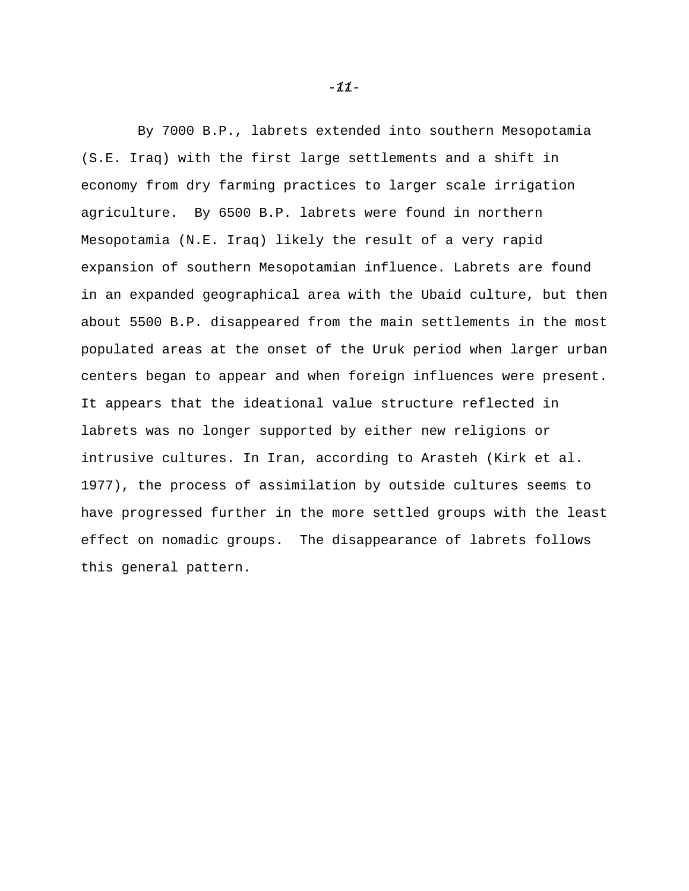By 7000 B.P., labrets extended into southern Mesopotamia (S.E. Iraq) with the first large settlements and a shift in economy from dry farming practices to larger scale irrigation agriculture. By 6500 B.P. labrets were found in northern Mesopotamia (N.E. Iraq) likely the result of a very rapid expansion of southern Mesopotamian influence. Labrets are found in an expanded geographical area with the Ubaid culture, but then about 5500 B.P. disappeared from the main settlements in the most populated areas at the onset of the Uruk period when larger urban centers began to appear and when foreign influences were present. It appears that the ideational value structure reflected in labrets was no longer supported by either new religions or intrusive cultures. In Iran, according to Arasteh (Kirk et al. 1977), the process of assimilation by outside cultures seems to have progressed further in the more settled groups with the least effect on nomadic groups. The disappearance of labrets follows this general pattern.

 $-\chi\chi$ -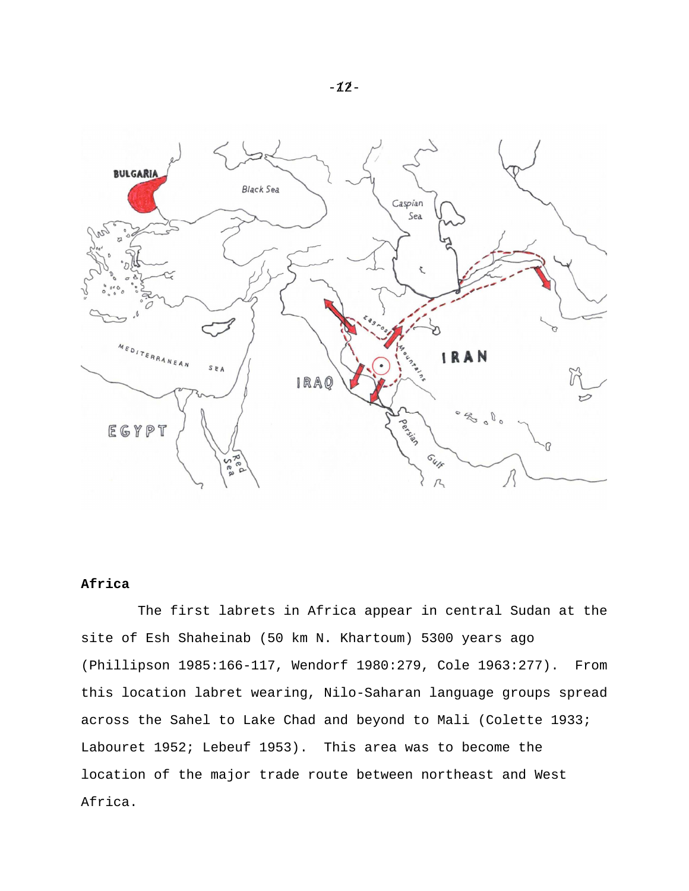

## **Africa**

 The first labrets in Africa appear in central Sudan at the site of Esh Shaheinab (50 km N. Khartoum) 5300 years ago (Phillipson 1985:166-117, Wendorf 1980:279, Cole 1963:277). From this location labret wearing, Nilo-Saharan language groups spread across the Sahel to Lake Chad and beyond to Mali (Colette 1933; Labouret 1952; Lebeuf 1953). This area was to become the location of the major trade route between northeast and West Africa.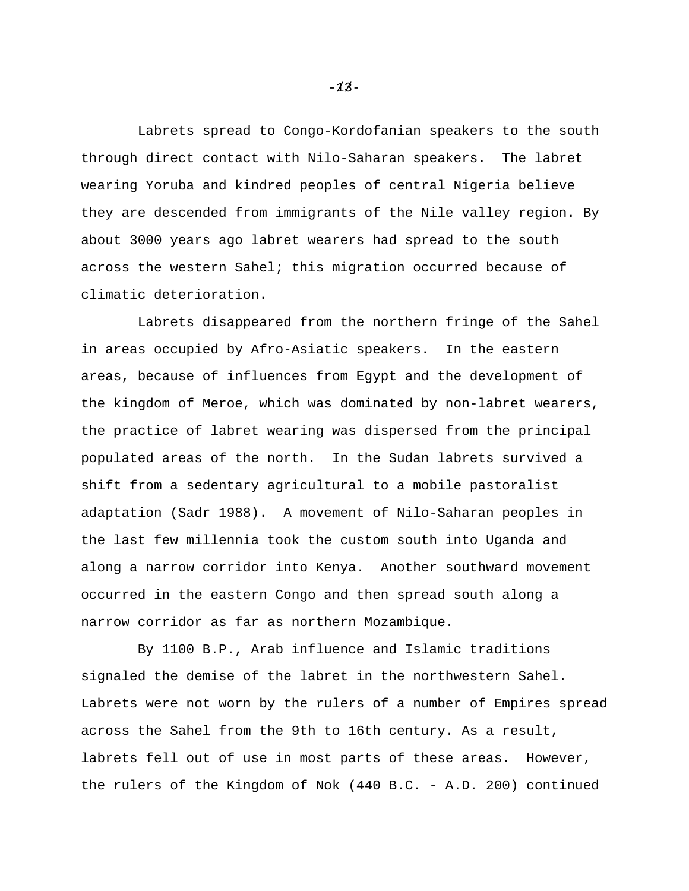Labrets spread to Congo-Kordofanian speakers to the south through direct contact with Nilo-Saharan speakers. The labret wearing Yoruba and kindred peoples of central Nigeria believe they are descended from immigrants of the Nile valley region. By about 3000 years ago labret wearers had spread to the south across the western Sahel; this migration occurred because of climatic deterioration.

 Labrets disappeared from the northern fringe of the Sahel in areas occupied by Afro-Asiatic speakers. In the eastern areas, because of influences from Egypt and the development of the kingdom of Meroe, which was dominated by non-labret wearers, the practice of labret wearing was dispersed from the principal populated areas of the north. In the Sudan labrets survived a shift from a sedentary agricultural to a mobile pastoralist adaptation (Sadr 1988). A movement of Nilo-Saharan peoples in the last few millennia took the custom south into Uganda and along a narrow corridor into Kenya. Another southward movement occurred in the eastern Congo and then spread south along a narrow corridor as far as northern Mozambique.

 By 1100 B.P., Arab influence and Islamic traditions signaled the demise of the labret in the northwestern Sahel. Labrets were not worn by the rulers of a number of Empires spread across the Sahel from the 9th to 16th century. As a result, labrets fell out of use in most parts of these areas. However, the rulers of the Kingdom of Nok (440 B.C. - A.D. 200) continued

 $-13-$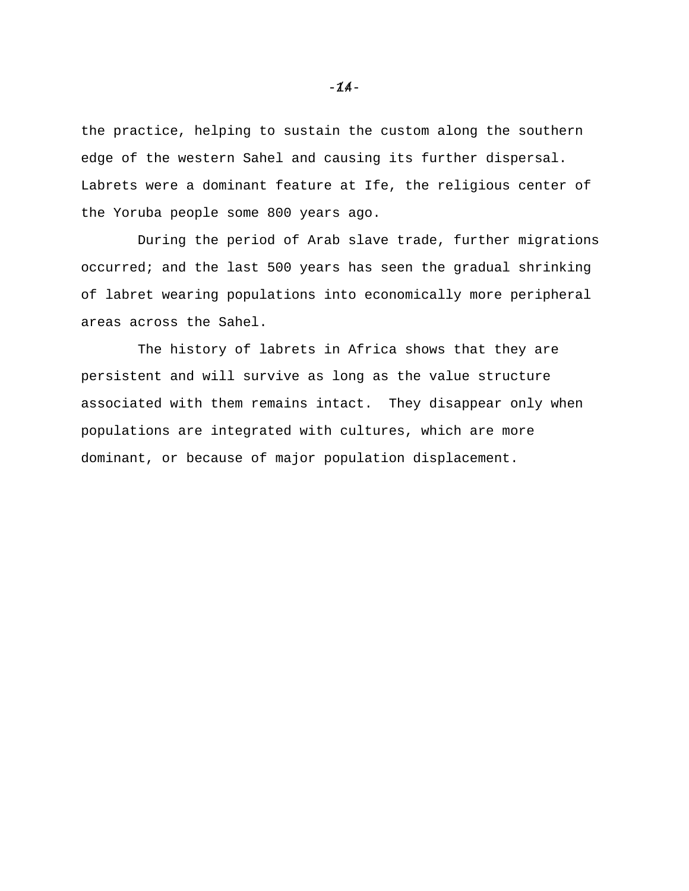the practice, helping to sustain the custom along the southern edge of the western Sahel and causing its further dispersal. Labrets were a dominant feature at Ife, the religious center of the Yoruba people some 800 years ago.

 During the period of Arab slave trade, further migrations occurred; and the last 500 years has seen the gradual shrinking of labret wearing populations into economically more peripheral areas across the Sahel.

 The history of labrets in Africa shows that they are persistent and will survive as long as the value structure associated with them remains intact. They disappear only when populations are integrated with cultures, which are more dominant, or because of major population displacement.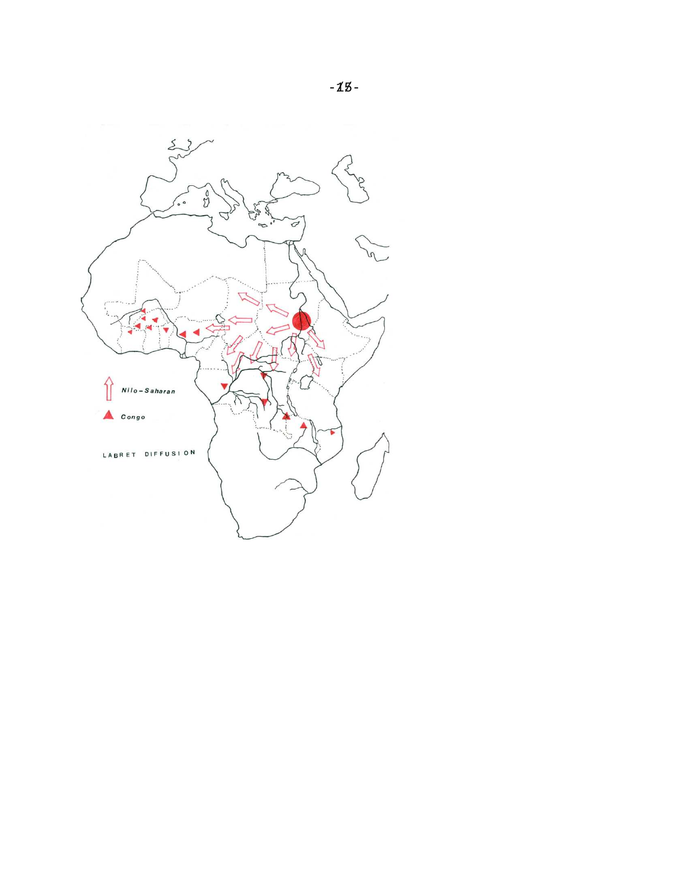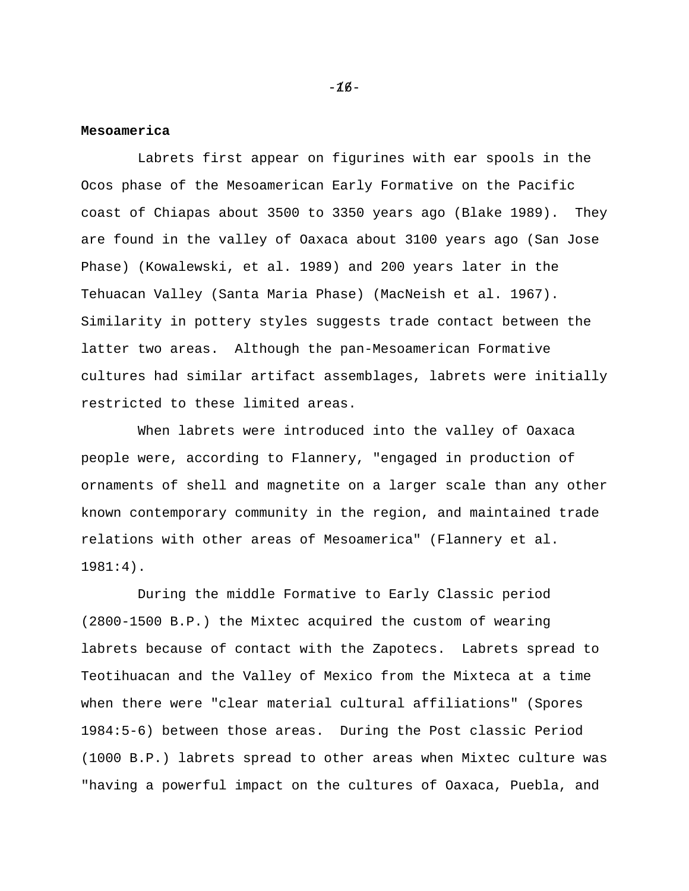#### **Mesoamerica**

 Labrets first appear on figurines with ear spools in the Ocos phase of the Mesoamerican Early Formative on the Pacific coast of Chiapas about 3500 to 3350 years ago (Blake 1989). They are found in the valley of Oaxaca about 3100 years ago (San Jose Phase) (Kowalewski, et al. 1989) and 200 years later in the Tehuacan Valley (Santa Maria Phase) (MacNeish et al. 1967). Similarity in pottery styles suggests trade contact between the latter two areas. Although the pan-Mesoamerican Formative cultures had similar artifact assemblages, labrets were initially restricted to these limited areas.

 When labrets were introduced into the valley of Oaxaca people were, according to Flannery, "engaged in production of ornaments of shell and magnetite on a larger scale than any other known contemporary community in the region, and maintained trade relations with other areas of Mesoamerica" (Flannery et al. 1981:4).

 During the middle Formative to Early Classic period (2800-1500 B.P.) the Mixtec acquired the custom of wearing labrets because of contact with the Zapotecs. Labrets spread to Teotihuacan and the Valley of Mexico from the Mixteca at a time when there were "clear material cultural affiliations" (Spores 1984:5-6) between those areas. During the Post classic Period (1000 B.P.) labrets spread to other areas when Mixtec culture was "having a powerful impact on the cultures of Oaxaca, Puebla, and

 $-\chi_{\emptyset}$ -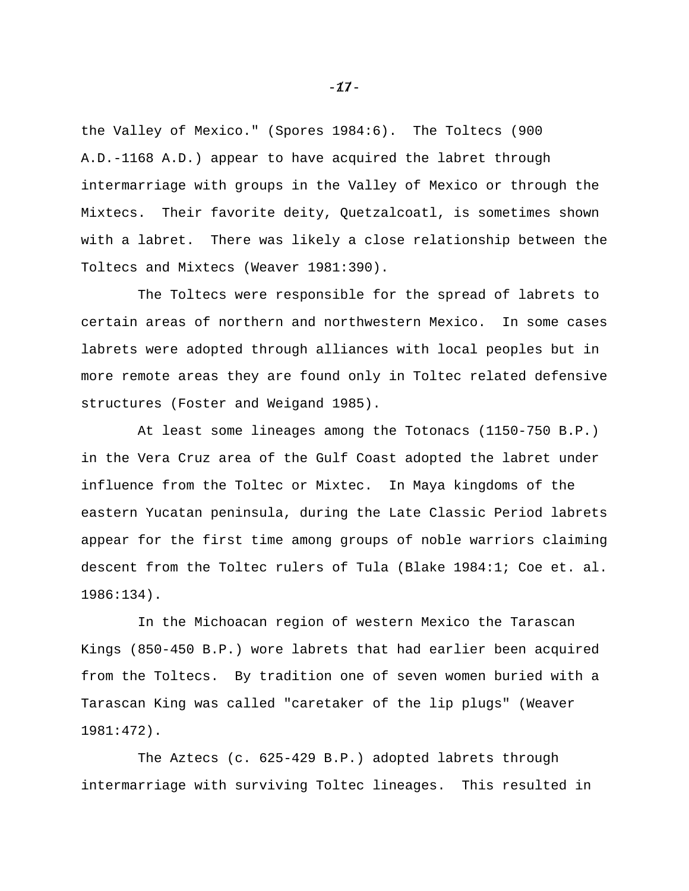the Valley of Mexico." (Spores 1984:6). The Toltecs (900 A.D.-1168 A.D.) appear to have acquired the labret through intermarriage with groups in the Valley of Mexico or through the Mixtecs. Their favorite deity, Quetzalcoatl, is sometimes shown with a labret. There was likely a close relationship between the Toltecs and Mixtecs (Weaver 1981:390).

 The Toltecs were responsible for the spread of labrets to certain areas of northern and northwestern Mexico. In some cases labrets were adopted through alliances with local peoples but in more remote areas they are found only in Toltec related defensive structures (Foster and Weigand 1985).

 At least some lineages among the Totonacs (1150-750 B.P.) in the Vera Cruz area of the Gulf Coast adopted the labret under influence from the Toltec or Mixtec. In Maya kingdoms of the eastern Yucatan peninsula, during the Late Classic Period labrets appear for the first time among groups of noble warriors claiming descent from the Toltec rulers of Tula (Blake 1984:1; Coe et. al. 1986:134).

 In the Michoacan region of western Mexico the Tarascan Kings (850-450 B.P.) wore labrets that had earlier been acquired from the Toltecs. By tradition one of seven women buried with a Tarascan King was called "caretaker of the lip plugs" (Weaver 1981:472).

 The Aztecs (c. 625-429 B.P.) adopted labrets through intermarriage with surviving Toltec lineages. This resulted in

 $-17-$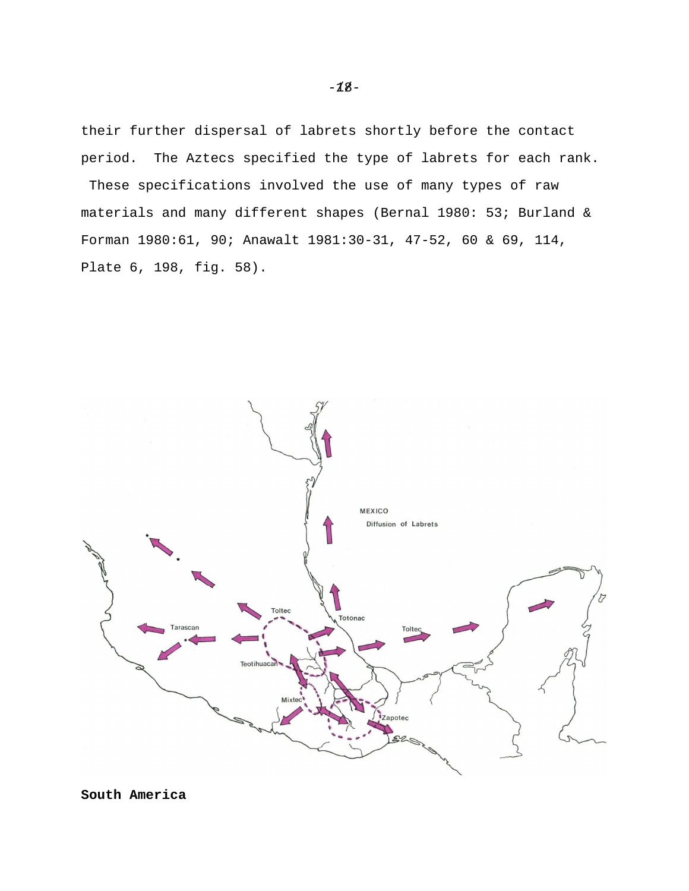their further dispersal of labrets shortly before the contact period. The Aztecs specified the type of labrets for each rank.

 These specifications involved the use of many types of raw materials and many different shapes (Bernal 1980: 53; Burland & Forman 1980:61, 90; Anawalt 1981:30-31, 47-52, 60 & 69, 114, Plate 6, 198, fig. 58).

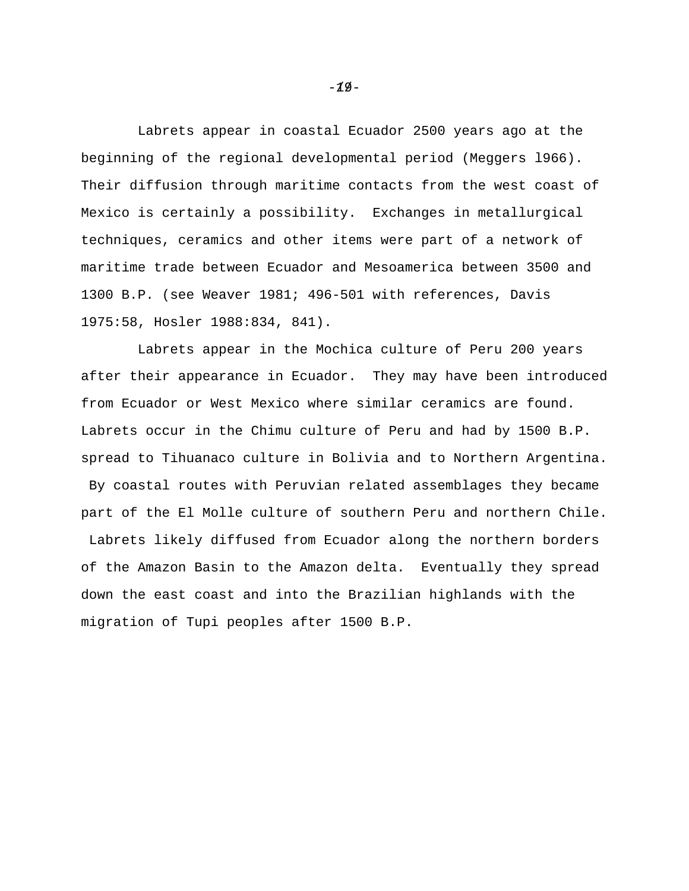Labrets appear in coastal Ecuador 2500 years ago at the beginning of the regional developmental period (Meggers l966). Their diffusion through maritime contacts from the west coast of Mexico is certainly a possibility. Exchanges in metallurgical techniques, ceramics and other items were part of a network of maritime trade between Ecuador and Mesoamerica between 3500 and 1300 B.P. (see Weaver 1981; 496-501 with references, Davis 1975:58, Hosler 1988:834, 841).

 Labrets appear in the Mochica culture of Peru 200 years after their appearance in Ecuador. They may have been introduced from Ecuador or West Mexico where similar ceramics are found. Labrets occur in the Chimu culture of Peru and had by 1500 B.P. spread to Tihuanaco culture in Bolivia and to Northern Argentina. By coastal routes with Peruvian related assemblages they became part of the El Molle culture of southern Peru and northern Chile. Labrets likely diffused from Ecuador along the northern borders of the Amazon Basin to the Amazon delta. Eventually they spread down the east coast and into the Brazilian highlands with the migration of Tupi peoples after 1500 B.P.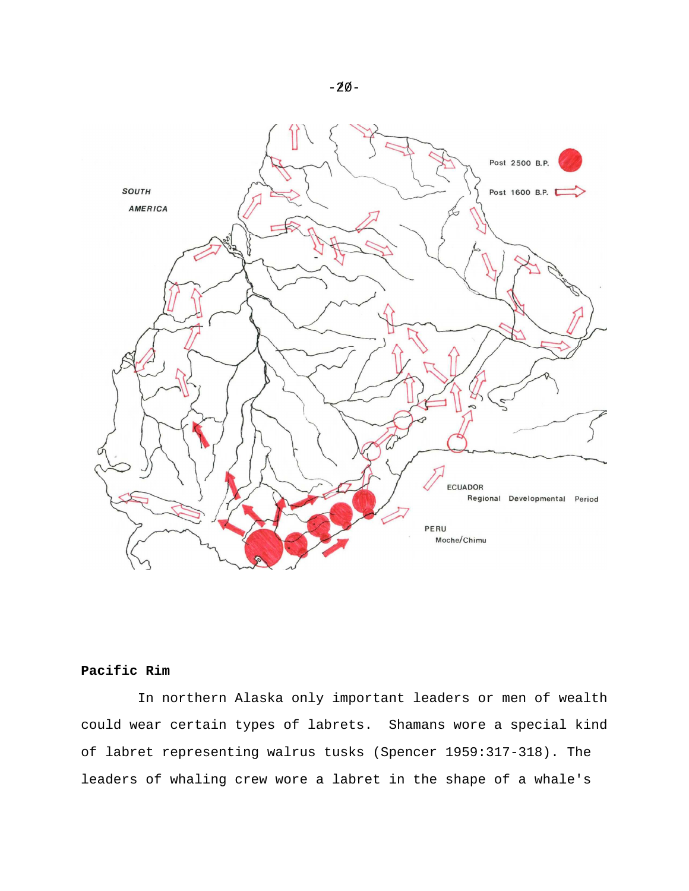

## **Pacific Rim**

 In northern Alaska only important leaders or men of wealth could wear certain types of labrets. Shamans wore a special kind of labret representing walrus tusks (Spencer 1959:317-318). The leaders of whaling crew wore a labret in the shape of a whale's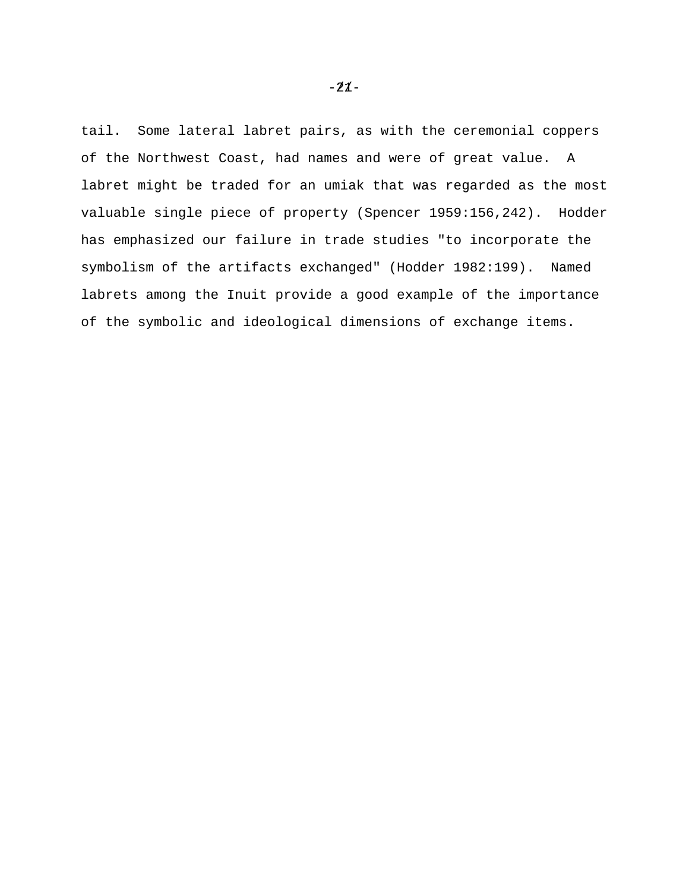tail. Some lateral labret pairs, as with the ceremonial coppers of the Northwest Coast, had names and were of great value. A labret might be traded for an umiak that was regarded as the most valuable single piece of property (Spencer 1959:156,242). Hodder has emphasized our failure in trade studies "to incorporate the symbolism of the artifacts exchanged" (Hodder 1982:199). Named labrets among the Inuit provide a good example of the importance of the symbolic and ideological dimensions of exchange items.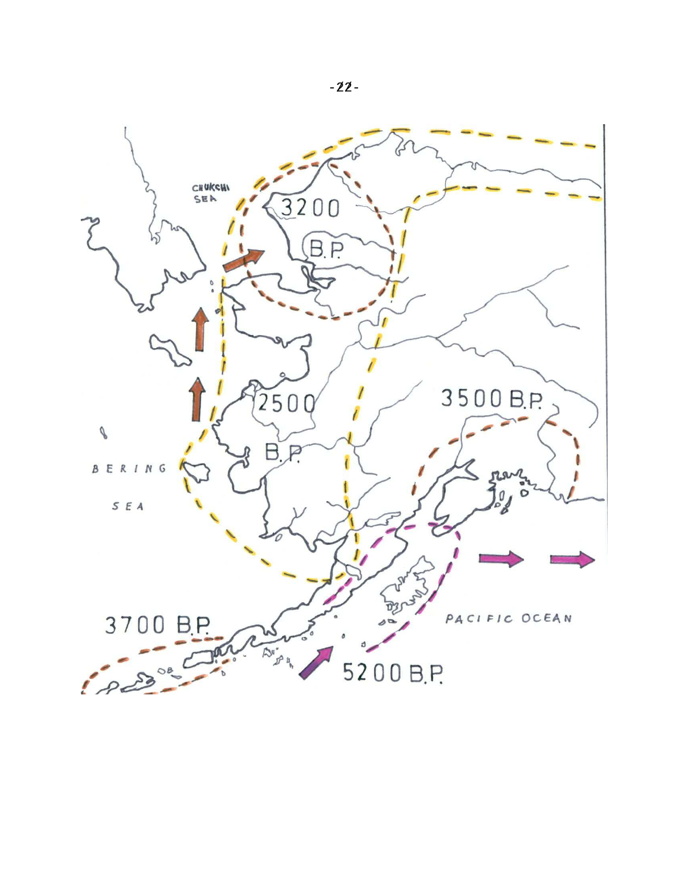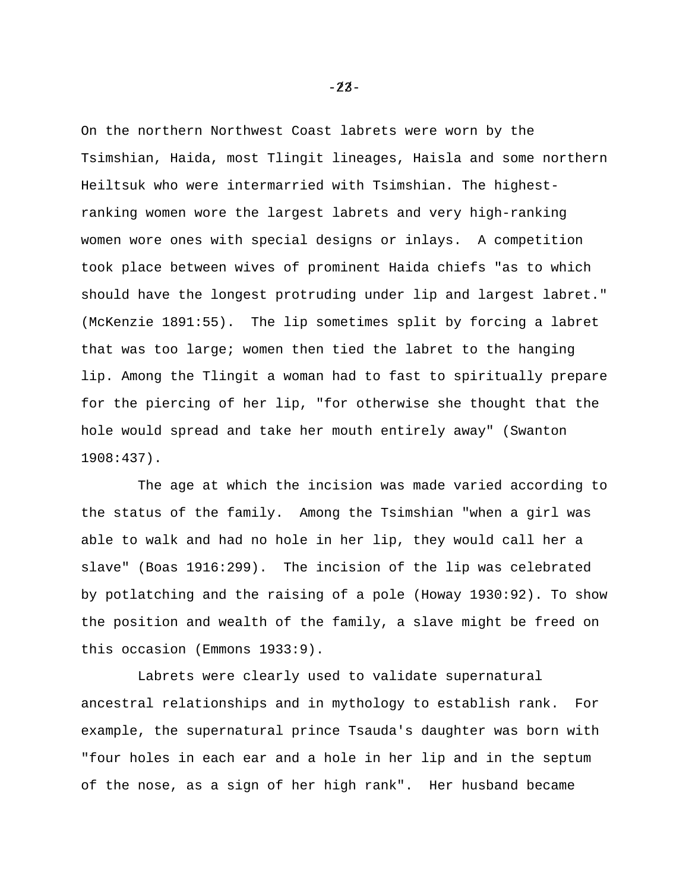On the northern Northwest Coast labrets were worn by the Tsimshian, Haida, most Tlingit lineages, Haisla and some northern Heiltsuk who were intermarried with Tsimshian. The highestranking women wore the largest labrets and very high-ranking women wore ones with special designs or inlays. A competition took place between wives of prominent Haida chiefs "as to which should have the longest protruding under lip and largest labret." (McKenzie 1891:55). The lip sometimes split by forcing a labret that was too large; women then tied the labret to the hanging lip. Among the Tlingit a woman had to fast to spiritually prepare for the piercing of her lip, "for otherwise she thought that the hole would spread and take her mouth entirely away" (Swanton 1908:437).

 The age at which the incision was made varied according to the status of the family. Among the Tsimshian "when a girl was able to walk and had no hole in her lip, they would call her a slave" (Boas 1916:299). The incision of the lip was celebrated by potlatching and the raising of a pole (Howay 1930:92). To show the position and wealth of the family, a slave might be freed on this occasion (Emmons 1933:9).

 Labrets were clearly used to validate supernatural ancestral relationships and in mythology to establish rank. For example, the supernatural prince Tsauda's daughter was born with "four holes in each ear and a hole in her lip and in the septum of the nose, as a sign of her high rank". Her husband became

 $-23-$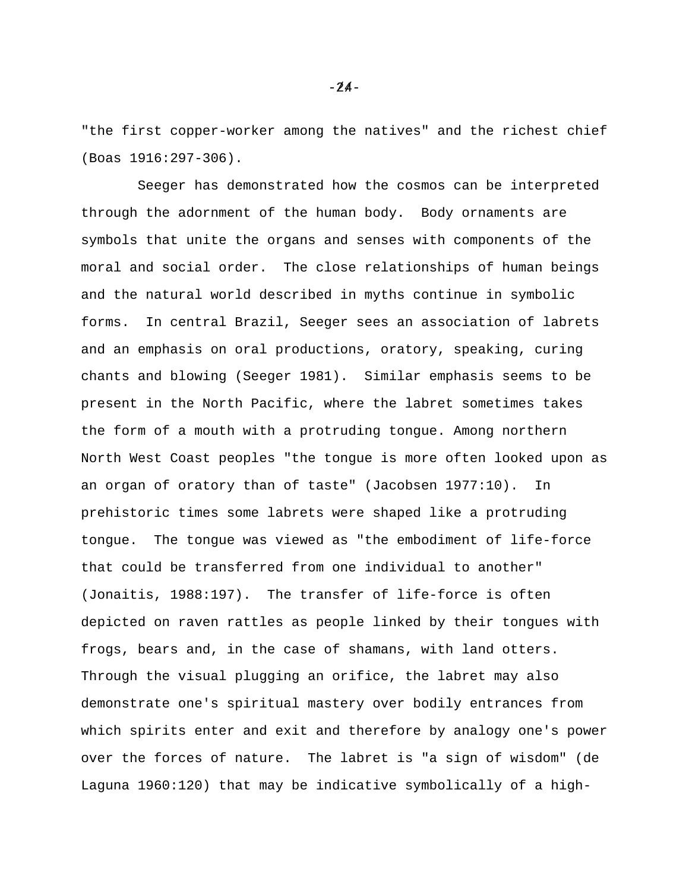"the first copper-worker among the natives" and the richest chief (Boas 1916:297-306).

 Seeger has demonstrated how the cosmos can be interpreted through the adornment of the human body. Body ornaments are symbols that unite the organs and senses with components of the moral and social order. The close relationships of human beings and the natural world described in myths continue in symbolic forms. In central Brazil, Seeger sees an association of labrets and an emphasis on oral productions, oratory, speaking, curing chants and blowing (Seeger 1981). Similar emphasis seems to be present in the North Pacific, where the labret sometimes takes the form of a mouth with a protruding tongue. Among northern North West Coast peoples "the tongue is more often looked upon as an organ of oratory than of taste" (Jacobsen 1977:10). In prehistoric times some labrets were shaped like a protruding tongue. The tongue was viewed as "the embodiment of life-force that could be transferred from one individual to another" (Jonaitis, 1988:197). The transfer of life-force is often depicted on raven rattles as people linked by their tongues with frogs, bears and, in the case of shamans, with land otters. Through the visual plugging an orifice, the labret may also demonstrate one's spiritual mastery over bodily entrances from which spirits enter and exit and therefore by analogy one's power over the forces of nature. The labret is "a sign of wisdom" (de Laguna 1960:120) that may be indicative symbolically of a high-

 $-24-$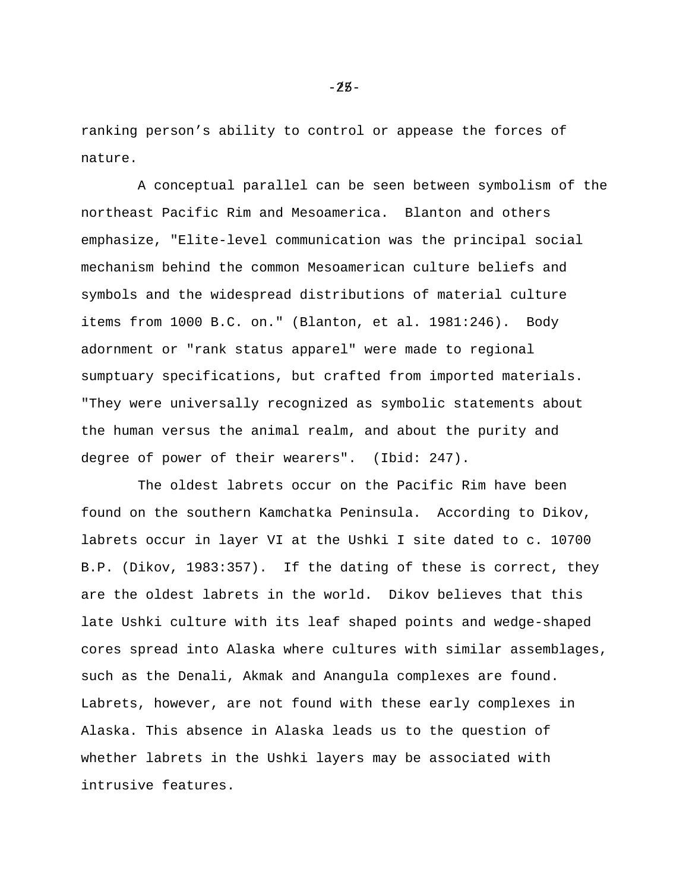ranking person's ability to control or appease the forces of nature.

 A conceptual parallel can be seen between symbolism of the northeast Pacific Rim and Mesoamerica. Blanton and others emphasize, "Elite-level communication was the principal social mechanism behind the common Mesoamerican culture beliefs and symbols and the widespread distributions of material culture items from 1000 B.C. on." (Blanton, et al. 1981:246). Body adornment or "rank status apparel" were made to regional sumptuary specifications, but crafted from imported materials. "They were universally recognized as symbolic statements about the human versus the animal realm, and about the purity and degree of power of their wearers". (Ibid: 247).

 The oldest labrets occur on the Pacific Rim have been found on the southern Kamchatka Peninsula. According to Dikov, labrets occur in layer VI at the Ushki I site dated to c. 10700 B.P. (Dikov, 1983:357). If the dating of these is correct, they are the oldest labrets in the world. Dikov believes that this late Ushki culture with its leaf shaped points and wedge-shaped cores spread into Alaska where cultures with similar assemblages, such as the Denali, Akmak and Anangula complexes are found. Labrets, however, are not found with these early complexes in Alaska. This absence in Alaska leads us to the question of whether labrets in the Ushki layers may be associated with intrusive features.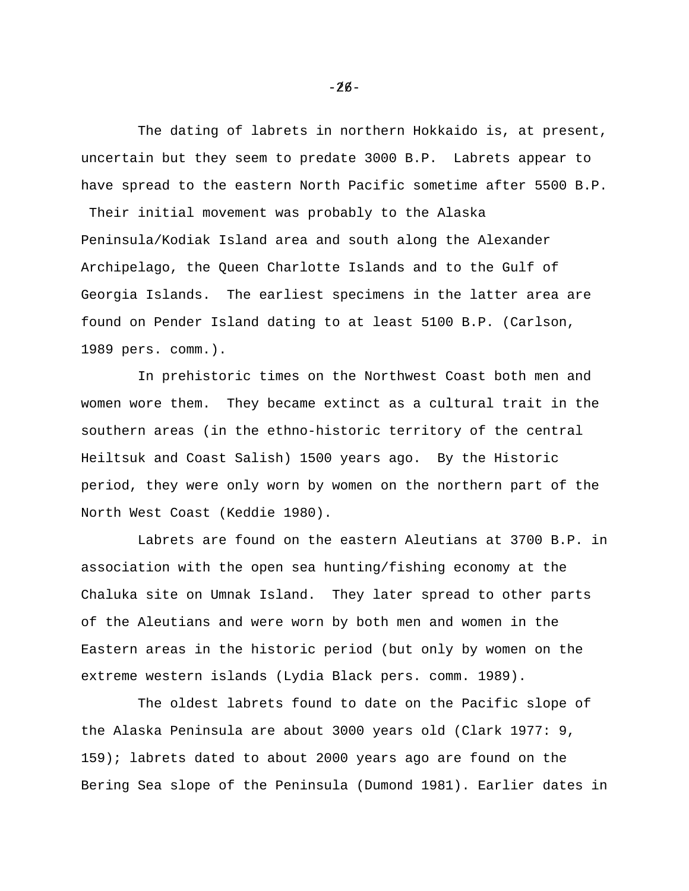The dating of labrets in northern Hokkaido is, at present, uncertain but they seem to predate 3000 B.P. Labrets appear to have spread to the eastern North Pacific sometime after 5500 B.P.

 Their initial movement was probably to the Alaska Peninsula/Kodiak Island area and south along the Alexander Archipelago, the Queen Charlotte Islands and to the Gulf of Georgia Islands. The earliest specimens in the latter area are found on Pender Island dating to at least 5100 B.P. (Carlson, 1989 pers. comm.).

 In prehistoric times on the Northwest Coast both men and women wore them. They became extinct as a cultural trait in the southern areas (in the ethno-historic territory of the central Heiltsuk and Coast Salish) 1500 years ago. By the Historic period, they were only worn by women on the northern part of the North West Coast (Keddie 1980).

 Labrets are found on the eastern Aleutians at 3700 B.P. in association with the open sea hunting/fishing economy at the Chaluka site on Umnak Island. They later spread to other parts of the Aleutians and were worn by both men and women in the Eastern areas in the historic period (but only by women on the extreme western islands (Lydia Black pers. comm. 1989).

 The oldest labrets found to date on the Pacific slope of the Alaska Peninsula are about 3000 years old (Clark 1977: 9, 159); labrets dated to about 2000 years ago are found on the Bering Sea slope of the Peninsula (Dumond 1981). Earlier dates in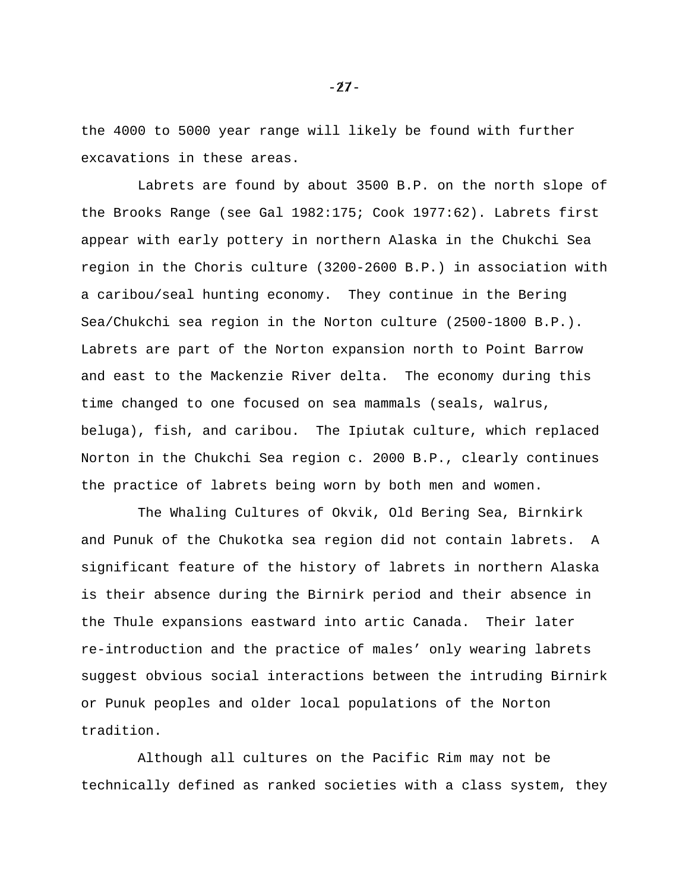the 4000 to 5000 year range will likely be found with further excavations in these areas.

 Labrets are found by about 3500 B.P. on the north slope of the Brooks Range (see Gal 1982:175; Cook 1977:62). Labrets first appear with early pottery in northern Alaska in the Chukchi Sea region in the Choris culture (3200-2600 B.P.) in association with a caribou/seal hunting economy. They continue in the Bering Sea/Chukchi sea region in the Norton culture (2500-1800 B.P.). Labrets are part of the Norton expansion north to Point Barrow and east to the Mackenzie River delta. The economy during this time changed to one focused on sea mammals (seals, walrus, beluga), fish, and caribou. The Ipiutak culture, which replaced Norton in the Chukchi Sea region c. 2000 B.P., clearly continues the practice of labrets being worn by both men and women.

 The Whaling Cultures of Okvik, Old Bering Sea, Birnkirk and Punuk of the Chukotka sea region did not contain labrets. A significant feature of the history of labrets in northern Alaska is their absence during the Birnirk period and their absence in the Thule expansions eastward into artic Canada. Their later re-introduction and the practice of males' only wearing labrets suggest obvious social interactions between the intruding Birnirk or Punuk peoples and older local populations of the Norton tradition.

 Although all cultures on the Pacific Rim may not be technically defined as ranked societies with a class system, they

 $-27-$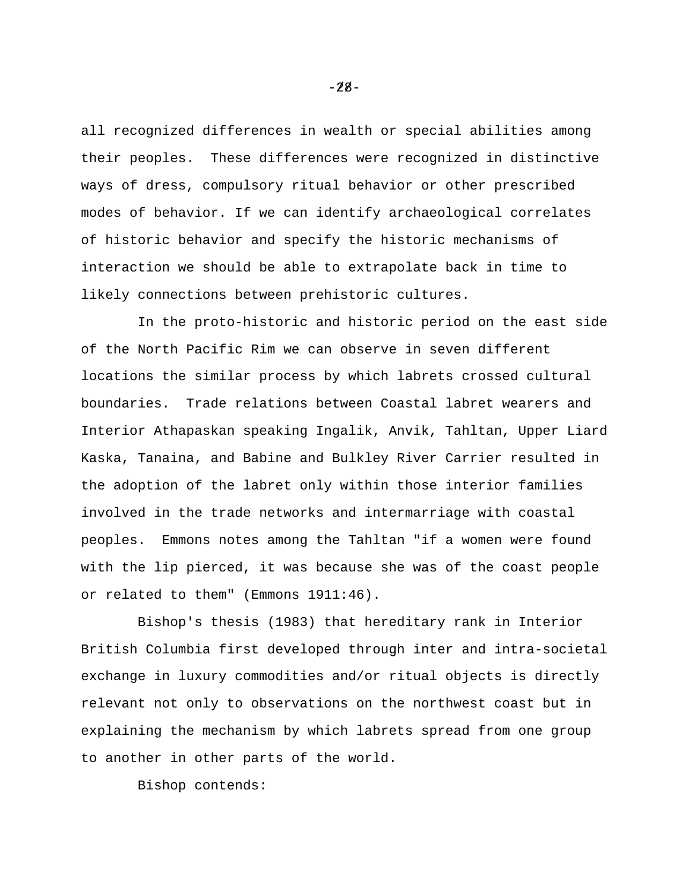all recognized differences in wealth or special abilities among their peoples. These differences were recognized in distinctive ways of dress, compulsory ritual behavior or other prescribed modes of behavior. If we can identify archaeological correlates of historic behavior and specify the historic mechanisms of interaction we should be able to extrapolate back in time to likely connections between prehistoric cultures.

 In the proto-historic and historic period on the east side of the North Pacific Rim we can observe in seven different locations the similar process by which labrets crossed cultural boundaries. Trade relations between Coastal labret wearers and Interior Athapaskan speaking Ingalik, Anvik, Tahltan, Upper Liard Kaska, Tanaina, and Babine and Bulkley River Carrier resulted in the adoption of the labret only within those interior families involved in the trade networks and intermarriage with coastal peoples. Emmons notes among the Tahltan "if a women were found with the lip pierced, it was because she was of the coast people or related to them" (Emmons 1911:46).

 Bishop's thesis (1983) that hereditary rank in Interior British Columbia first developed through inter and intra-societal exchange in luxury commodities and/or ritual objects is directly relevant not only to observations on the northwest coast but in explaining the mechanism by which labrets spread from one group to another in other parts of the world.

Bishop contends:

 $-28-$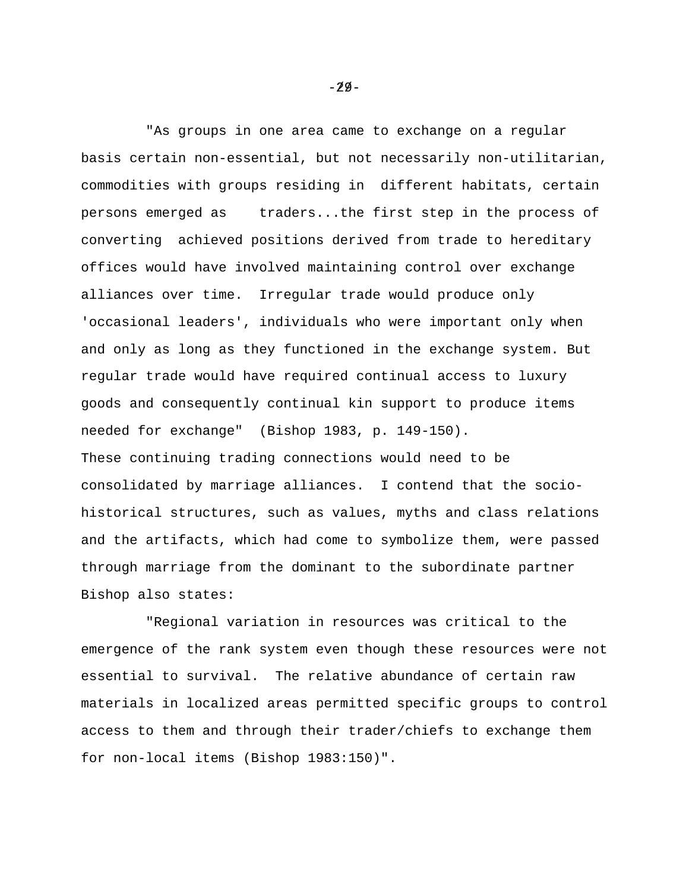"As groups in one area came to exchange on a regular basis certain non-essential, but not necessarily non-utilitarian, commodities with groups residing in different habitats, certain persons emerged as traders...the first step in the process of converting achieved positions derived from trade to hereditary offices would have involved maintaining control over exchange alliances over time. Irregular trade would produce only 'occasional leaders', individuals who were important only when and only as long as they functioned in the exchange system. But regular trade would have required continual access to luxury goods and consequently continual kin support to produce items needed for exchange" (Bishop 1983, p. 149-150). These continuing trading connections would need to be consolidated by marriage alliances. I contend that the sociohistorical structures, such as values, myths and class relations and the artifacts, which had come to symbolize them, were passed through marriage from the dominant to the subordinate partner Bishop also states:

 "Regional variation in resources was critical to the emergence of the rank system even though these resources were not essential to survival. The relative abundance of certain raw materials in localized areas permitted specific groups to control access to them and through their trader/chiefs to exchange them for non-local items (Bishop 1983:150)".

 $-29-$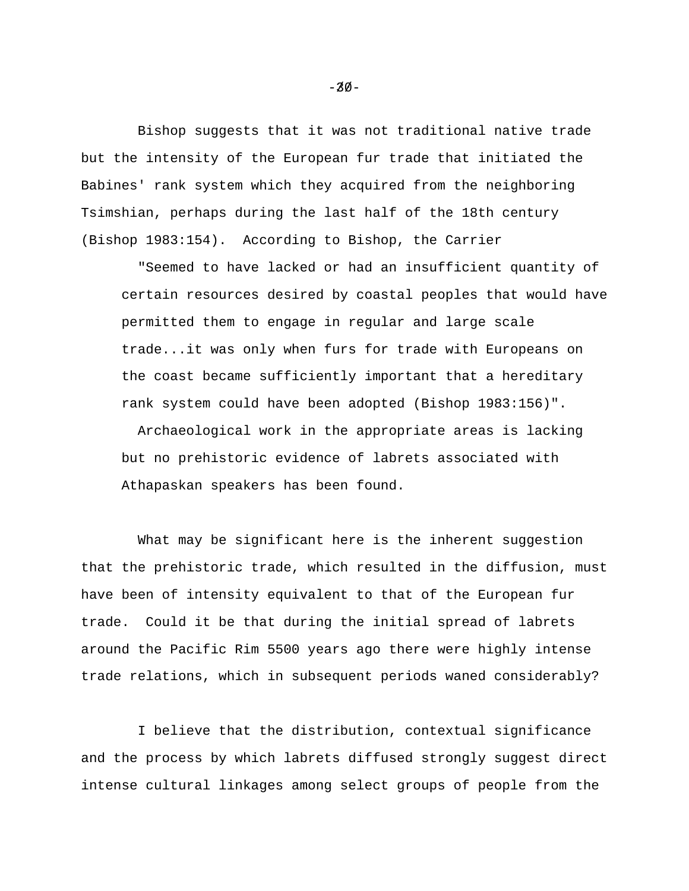Bishop suggests that it was not traditional native trade but the intensity of the European fur trade that initiated the Babines' rank system which they acquired from the neighboring Tsimshian, perhaps during the last half of the 18th century (Bishop 1983:154). According to Bishop, the Carrier

 "Seemed to have lacked or had an insufficient quantity of certain resources desired by coastal peoples that would have permitted them to engage in regular and large scale trade...it was only when furs for trade with Europeans on the coast became sufficiently important that a hereditary rank system could have been adopted (Bishop 1983:156)".

 Archaeological work in the appropriate areas is lacking but no prehistoric evidence of labrets associated with Athapaskan speakers has been found.

What may be significant here is the inherent suggestion that the prehistoric trade, which resulted in the diffusion, must have been of intensity equivalent to that of the European fur trade. Could it be that during the initial spread of labrets around the Pacific Rim 5500 years ago there were highly intense trade relations, which in subsequent periods waned considerably?

 I believe that the distribution, contextual significance and the process by which labrets diffused strongly suggest direct intense cultural linkages among select groups of people from the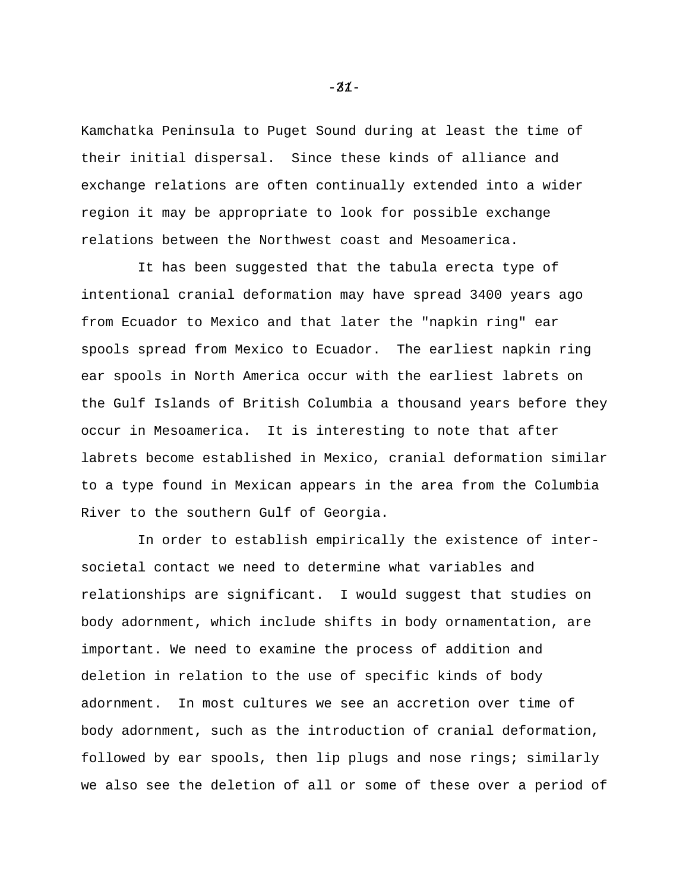Kamchatka Peninsula to Puget Sound during at least the time of their initial dispersal. Since these kinds of alliance and exchange relations are often continually extended into a wider region it may be appropriate to look for possible exchange relations between the Northwest coast and Mesoamerica.

 It has been suggested that the tabula erecta type of intentional cranial deformation may have spread 3400 years ago from Ecuador to Mexico and that later the "napkin ring" ear spools spread from Mexico to Ecuador. The earliest napkin ring ear spools in North America occur with the earliest labrets on the Gulf Islands of British Columbia a thousand years before they occur in Mesoamerica. It is interesting to note that after labrets become established in Mexico, cranial deformation similar to a type found in Mexican appears in the area from the Columbia River to the southern Gulf of Georgia.

 In order to establish empirically the existence of intersocietal contact we need to determine what variables and relationships are significant. I would suggest that studies on body adornment, which include shifts in body ornamentation, are important. We need to examine the process of addition and deletion in relation to the use of specific kinds of body adornment. In most cultures we see an accretion over time of body adornment, such as the introduction of cranial deformation, followed by ear spools, then lip plugs and nose rings; similarly we also see the deletion of all or some of these over a period of

 $-31-$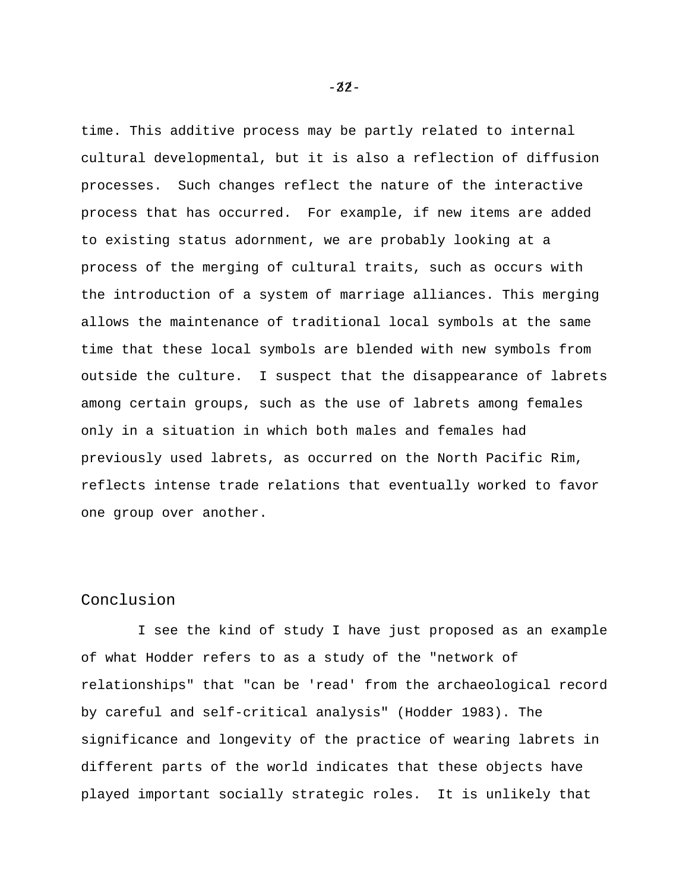time. This additive process may be partly related to internal cultural developmental, but it is also a reflection of diffusion processes. Such changes reflect the nature of the interactive process that has occurred. For example, if new items are added to existing status adornment, we are probably looking at a process of the merging of cultural traits, such as occurs with the introduction of a system of marriage alliances. This merging allows the maintenance of traditional local symbols at the same time that these local symbols are blended with new symbols from outside the culture. I suspect that the disappearance of labrets among certain groups, such as the use of labrets among females only in a situation in which both males and females had previously used labrets, as occurred on the North Pacific Rim, reflects intense trade relations that eventually worked to favor one group over another.

## Conclusion

 I see the kind of study I have just proposed as an example of what Hodder refers to as a study of the "network of relationships" that "can be 'read' from the archaeological record by careful and self-critical analysis" (Hodder 1983). The significance and longevity of the practice of wearing labrets in different parts of the world indicates that these objects have played important socially strategic roles. It is unlikely that

 $-32-$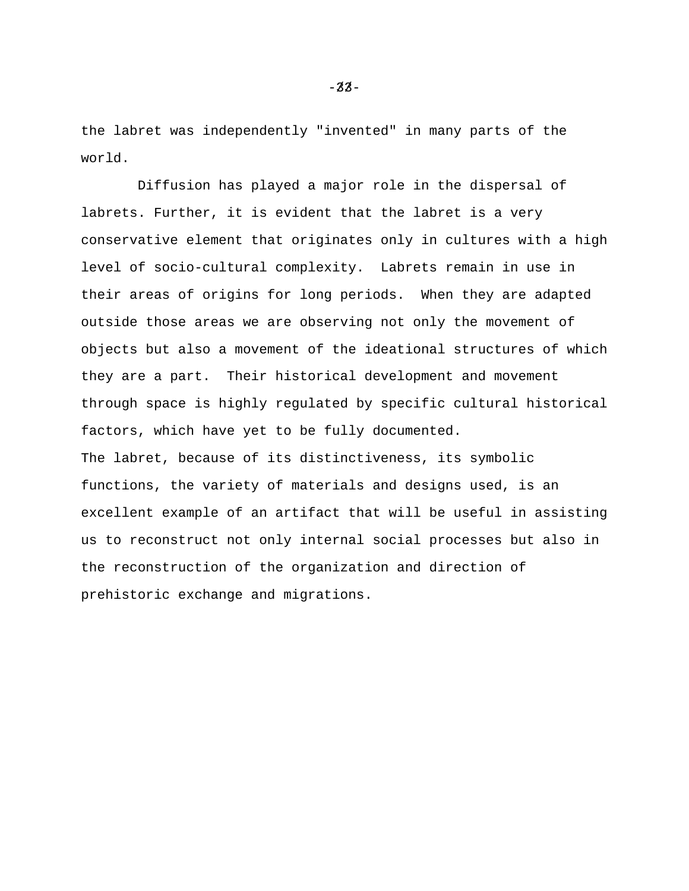the labret was independently "invented" in many parts of the world.

 Diffusion has played a major role in the dispersal of labrets. Further, it is evident that the labret is a very conservative element that originates only in cultures with a high level of socio-cultural complexity. Labrets remain in use in their areas of origins for long periods. When they are adapted outside those areas we are observing not only the movement of objects but also a movement of the ideational structures of which they are a part. Their historical development and movement through space is highly regulated by specific cultural historical factors, which have yet to be fully documented. The labret, because of its distinctiveness, its symbolic functions, the variety of materials and designs used, is an excellent example of an artifact that will be useful in assisting us to reconstruct not only internal social processes but also in the reconstruction of the organization and direction of prehistoric exchange and migrations.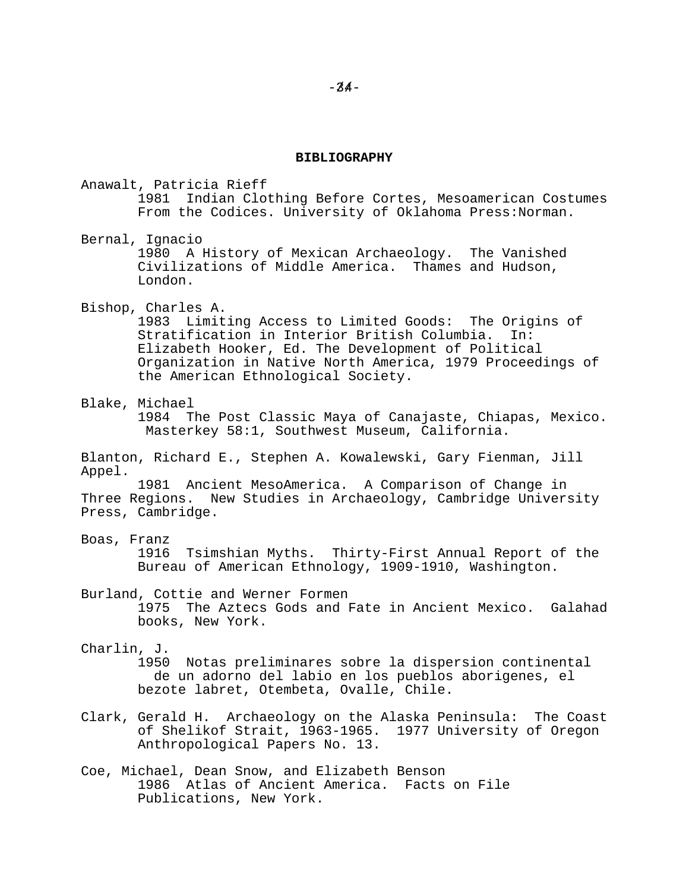#### **BIBLIOGRAPHY**

Anawalt, Patricia Rieff 1981 Indian Clothing Before Cortes, Mesoamerican Costumes From the Codices. University of Oklahoma Press:Norman.

- Bernal, Ignacio 1980 A History of Mexican Archaeology. The Vanished Civilizations of Middle America. Thames and Hudson, London.
- Bishop, Charles A.

 1983 Limiting Access to Limited Goods: The Origins of Stratification in Interior British Columbia. In: Elizabeth Hooker, Ed. The Development of Political Organization in Native North America, 1979 Proceedings of the American Ethnological Society.

Blake, Michael

 1984 The Post Classic Maya of Canajaste, Chiapas, Mexico. Masterkey 58:1, Southwest Museum, California.

Blanton, Richard E., Stephen A. Kowalewski, Gary Fienman, Jill Appel.

 1981 Ancient MesoAmerica. A Comparison of Change in Three Regions. New Studies in Archaeology, Cambridge University Press, Cambridge.

Boas, Franz

 1916 Tsimshian Myths. Thirty-First Annual Report of the Bureau of American Ethnology, 1909-1910, Washington.

Burland, Cottie and Werner Formen 1975 The Aztecs Gods and Fate in Ancient Mexico. Galahad books, New York.

## Charlin, J.

 1950 Notas preliminares sobre la dispersion continental de un adorno del labio en los pueblos aborigenes, el bezote labret, Otembeta, Ovalle, Chile.

- Clark, Gerald H. Archaeology on the Alaska Peninsula: The Coast of Shelikof Strait, 1963-1965. 1977 University of Oregon Anthropological Papers No. 13.
- Coe, Michael, Dean Snow, and Elizabeth Benson 1986 Atlas of Ancient America. Facts on File Publications, New York.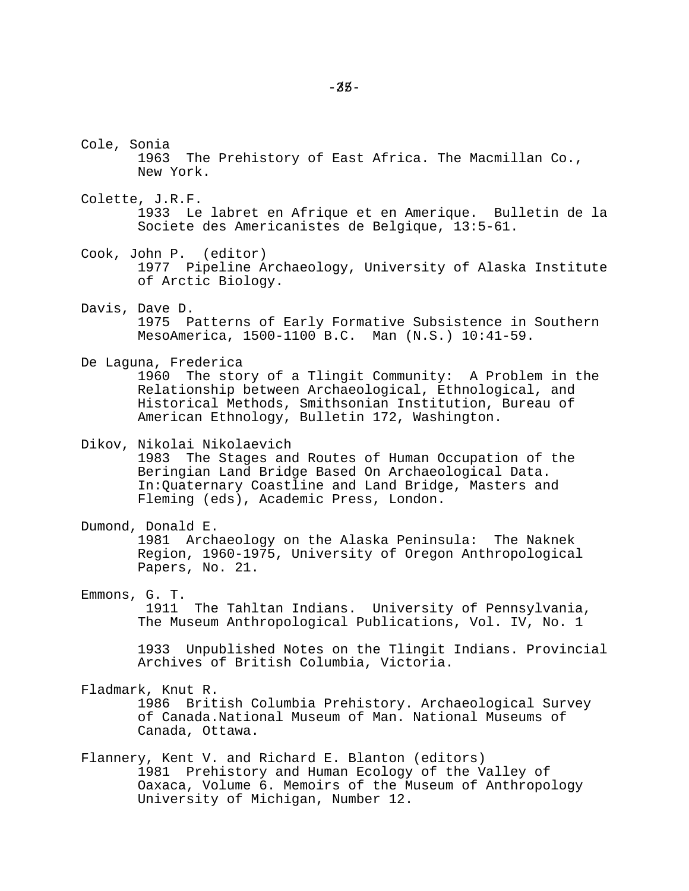Cole, Sonia 1963 The Prehistory of East Africa. The Macmillan Co., New York.

Colette, J.R.F.

 1933 Le labret en Afrique et en Amerique. Bulletin de la Societe des Americanistes de Belgique, 13:5-61.

- Cook, John P. (editor) 1977 Pipeline Archaeology, University of Alaska Institute of Arctic Biology.
- Davis, Dave D. 1975 Patterns of Early Formative Subsistence in Southern MesoAmerica, 1500-1100 B.C. Man (N.S.) 10:41-59.
- De Laguna, Frederica

 1960 The story of a Tlingit Community: A Problem in the Relationship between Archaeological, Ethnological, and Historical Methods, Smithsonian Institution, Bureau of American Ethnology, Bulletin 172, Washington.

Dikov, Nikolai Nikolaevich

 1983 The Stages and Routes of Human Occupation of the Beringian Land Bridge Based On Archaeological Data. In:Quaternary Coastline and Land Bridge, Masters and Fleming (eds), Academic Press, London.

Dumond, Donald E.

 1981 Archaeology on the Alaska Peninsula: The Naknek Region, 1960-1975, University of Oregon Anthropological Papers, No. 21.

Emmons, G. T.

 1911 The Tahltan Indians. University of Pennsylvania, The Museum Anthropological Publications, Vol. IV, No. 1

 1933 Unpublished Notes on the Tlingit Indians. Provincial Archives of British Columbia, Victoria.

Fladmark, Knut R.

 1986 British Columbia Prehistory. Archaeological Survey of Canada.National Museum of Man. National Museums of Canada, Ottawa.

Flannery, Kent V. and Richard E. Blanton (editors) 1981 Prehistory and Human Ecology of the Valley of Oaxaca, Volume 6. Memoirs of the Museum of Anthropology University of Michigan, Number 12.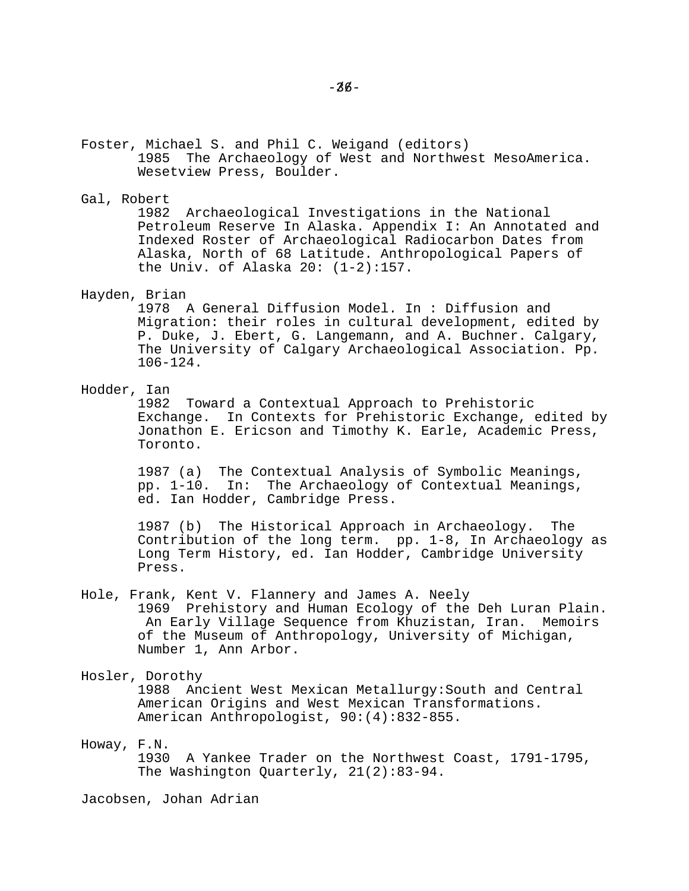Foster, Michael S. and Phil C. Weigand (editors) 1985 The Archaeology of West and Northwest MesoAmerica. Wesetview Press, Boulder.

#### Gal, Robert

 1982 Archaeological Investigations in the National Petroleum Reserve In Alaska. Appendix I: An Annotated and Indexed Roster of Archaeological Radiocarbon Dates from Alaska, North of 68 Latitude. Anthropological Papers of the Univ. of Alaska 20: (1-2):157.

#### Hayden, Brian

 1978 A General Diffusion Model. In : Diffusion and Migration: their roles in cultural development, edited by P. Duke, J. Ebert, G. Langemann, and A. Buchner. Calgary, The University of Calgary Archaeological Association. Pp. 106-124.

## Hodder, Ian

 1982 Toward a Contextual Approach to Prehistoric Exchange. In Contexts for Prehistoric Exchange, edited by Jonathon E. Ericson and Timothy K. Earle, Academic Press, Toronto.

 1987 (a) The Contextual Analysis of Symbolic Meanings, pp. 1-10. In: The Archaeology of Contextual Meanings, ed. Ian Hodder, Cambridge Press.

 1987 (b) The Historical Approach in Archaeology. The Contribution of the long term. pp. 1-8, In Archaeology as Long Term History, ed. Ian Hodder, Cambridge University Press.

Hole, Frank, Kent V. Flannery and James A. Neely 1969 Prehistory and Human Ecology of the Deh Luran Plain. An Early Village Sequence from Khuzistan, Iran. Memoirs of the Museum of Anthropology, University of Michigan, Number 1, Ann Arbor.

#### Hosler, Dorothy

 1988 Ancient West Mexican Metallurgy:South and Central American Origins and West Mexican Transformations. American Anthropologist, 90:(4):832-855.

Howay, F.N. 1930 A Yankee Trader on the Northwest Coast, 1791-1795, The Washington Quarterly, 21(2):83-94.

Jacobsen, Johan Adrian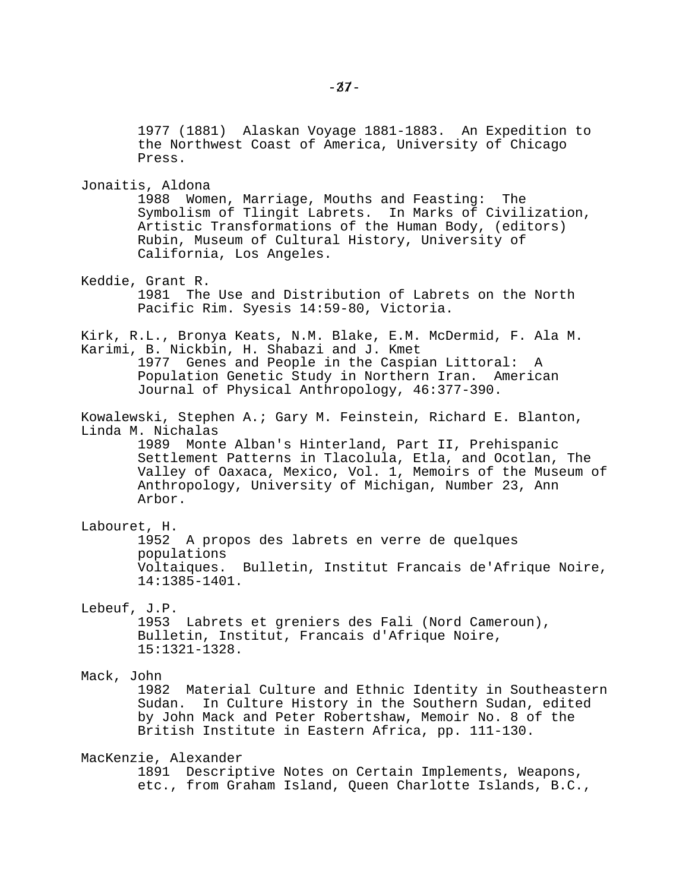1977 (1881) Alaskan Voyage 1881-1883. An Expedition to the Northwest Coast of America, University of Chicago Press.

Jonaitis, Aldona

 1988 Women, Marriage, Mouths and Feasting: The Symbolism of Tlingit Labrets. In Marks of Civilization, Artistic Transformations of the Human Body, (editors) Rubin, Museum of Cultural History, University of California, Los Angeles.

Keddie, Grant R. 1981 The Use and Distribution of Labrets on the North Pacific Rim. Syesis 14:59-80, Victoria.

Kirk, R.L., Bronya Keats, N.M. Blake, E.M. McDermid, F. Ala M. Karimi, B. Nickbin, H. Shabazi and J. Kmet

 1977 Genes and People in the Caspian Littoral: A Population Genetic Study in Northern Iran. American Journal of Physical Anthropology, 46:377-390.

Kowalewski, Stephen A.; Gary M. Feinstein, Richard E. Blanton, Linda M. Nichalas

 1989 Monte Alban's Hinterland, Part II, Prehispanic Settlement Patterns in Tlacolula, Etla, and Ocotlan, The Valley of Oaxaca, Mexico, Vol. 1, Memoirs of the Museum of Anthropology, University of Michigan, Number 23, Ann Arbor.

#### Labouret, H.

 1952 A propos des labrets en verre de quelques populations Voltaiques. Bulletin, Institut Francais de'Afrique Noire, 14:1385-1401.

## Lebeuf, J.P.

 1953 Labrets et greniers des Fali (Nord Cameroun), Bulletin, Institut, Francais d'Afrique Noire, 15:1321-1328.

#### Mack, John

 1982 Material Culture and Ethnic Identity in Southeastern Sudan. In Culture History in the Southern Sudan, edited by John Mack and Peter Robertshaw, Memoir No. 8 of the British Institute in Eastern Africa, pp. 111-130.

#### MacKenzie, Alexander

 1891 Descriptive Notes on Certain Implements, Weapons, etc., from Graham Island, Queen Charlotte Islands, B.C.,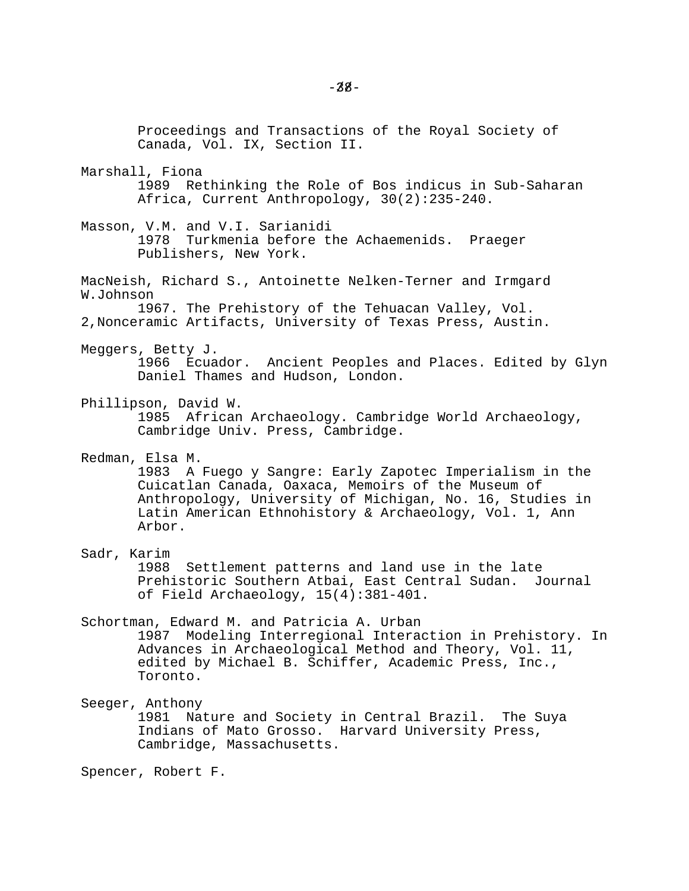Proceedings and Transactions of the Royal Society of Canada, Vol. IX, Section II. Marshall, Fiona 1989 Rethinking the Role of Bos indicus in Sub-Saharan Africa, Current Anthropology, 30(2):235-240. Masson, V.M. and V.I. Sarianidi 1978 Turkmenia before the Achaemenids. Praeger Publishers, New York. MacNeish, Richard S., Antoinette Nelken-Terner and Irmgard W.Johnson 1967. The Prehistory of the Tehuacan Valley, Vol. 2,Nonceramic Artifacts, University of Texas Press, Austin. Meggers, Betty J. 1966 Ecuador. Ancient Peoples and Places. Edited by Glyn Daniel Thames and Hudson, London. Phillipson, David W. 1985 African Archaeology. Cambridge World Archaeology, Cambridge Univ. Press, Cambridge. Redman, Elsa M. 1983 A Fuego y Sangre: Early Zapotec Imperialism in the Cuicatlan Canada, Oaxaca, Memoirs of the Museum of Anthropology, University of Michigan, No. 16, Studies in Latin American Ethnohistory & Archaeology, Vol. 1, Ann Arbor. Sadr, Karim 1988 Settlement patterns and land use in the late Prehistoric Southern Atbai, East Central Sudan. Journal of Field Archaeology, 15(4):381-401. Schortman, Edward M. and Patricia A. Urban 1987 Modeling Interregional Interaction in Prehistory. In Advances in Archaeological Method and Theory, Vol. 11, edited by Michael B. Schiffer, Academic Press, Inc., Toronto. Seeger, Anthony 1981 Nature and Society in Central Brazil. The Suya Indians of Mato Grosso. Harvard University Press, Cambridge, Massachusetts.

Spencer, Robert F.